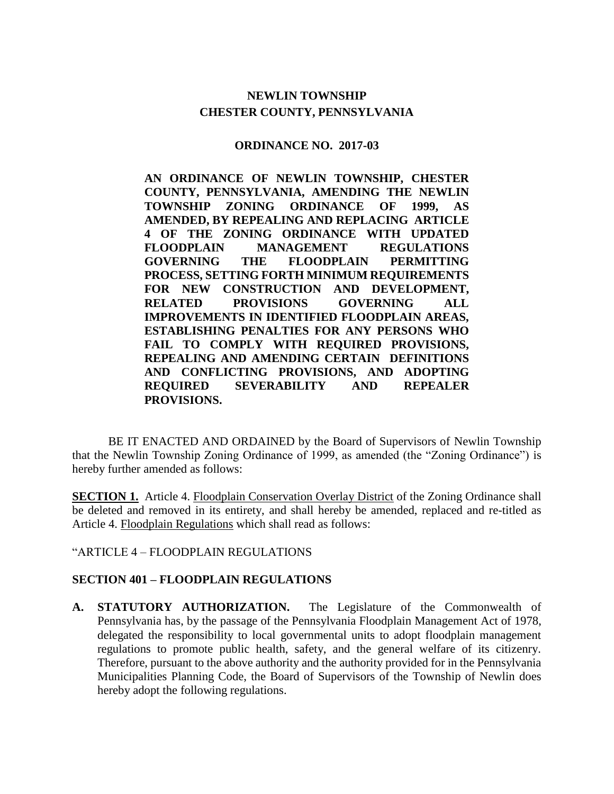## **NEWLIN TOWNSHIP CHESTER COUNTY, PENNSYLVANIA**

#### **ORDINANCE NO. 2017-03**

**AN ORDINANCE OF NEWLIN TOWNSHIP, CHESTER COUNTY, PENNSYLVANIA, AMENDING THE NEWLIN TOWNSHIP ZONING ORDINANCE OF 1999, AS AMENDED, BY REPEALING AND REPLACING ARTICLE 4 OF THE ZONING ORDINANCE WITH UPDATED FLOODPLAIN MANAGEMENT REGULATIONS GOVERNING THE FLOODPLAIN PERMITTING PROCESS, SETTING FORTH MINIMUM REQUIREMENTS FOR NEW CONSTRUCTION AND DEVELOPMENT, RELATED PROVISIONS GOVERNING ALL IMPROVEMENTS IN IDENTIFIED FLOODPLAIN AREAS, ESTABLISHING PENALTIES FOR ANY PERSONS WHO FAIL TO COMPLY WITH REQUIRED PROVISIONS, REPEALING AND AMENDING CERTAIN DEFINITIONS AND CONFLICTING PROVISIONS, AND ADOPTING REQUIRED SEVERABILITY AND REPEALER PROVISIONS.** 

BE IT ENACTED AND ORDAINED by the Board of Supervisors of Newlin Township that the Newlin Township Zoning Ordinance of 1999, as amended (the "Zoning Ordinance") is hereby further amended as follows:

**SECTION 1.** Article 4. Floodplain Conservation Overlay District of the Zoning Ordinance shall be deleted and removed in its entirety, and shall hereby be amended, replaced and re-titled as Article 4. Floodplain Regulations which shall read as follows:

"ARTICLE 4 – FLOODPLAIN REGULATIONS

#### **SECTION 401 – FLOODPLAIN REGULATIONS**

**A. STATUTORY AUTHORIZATION.** The Legislature of the Commonwealth of Pennsylvania has, by the passage of the Pennsylvania Floodplain Management Act of 1978, delegated the responsibility to local governmental units to adopt floodplain management regulations to promote public health, safety, and the general welfare of its citizenry. Therefore, pursuant to the above authority and the authority provided for in the Pennsylvania Municipalities Planning Code, the Board of Supervisors of the Township of Newlin does hereby adopt the following regulations.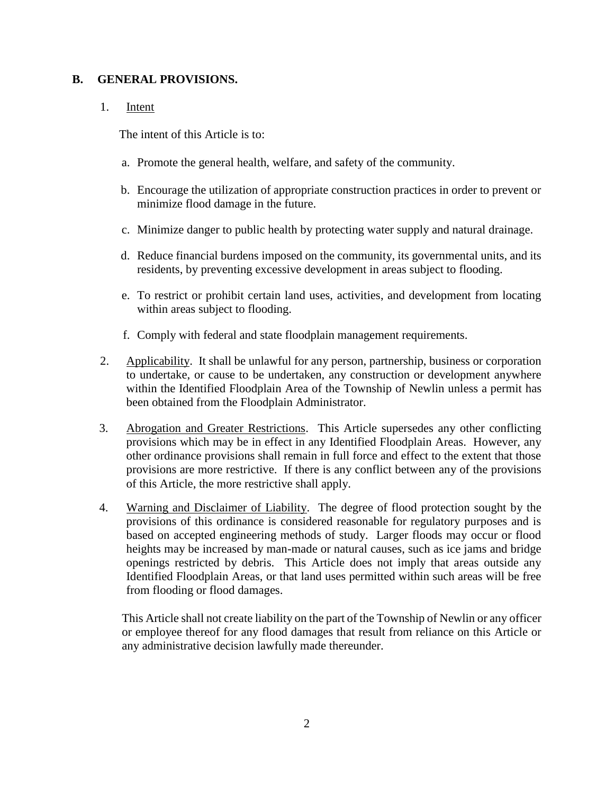#### **B. GENERAL PROVISIONS.**

#### 1. Intent

The intent of this Article is to:

- a. Promote the general health, welfare, and safety of the community.
- b. Encourage the utilization of appropriate construction practices in order to prevent or minimize flood damage in the future.
- c. Minimize danger to public health by protecting water supply and natural drainage.
- d. Reduce financial burdens imposed on the community, its governmental units, and its residents, by preventing excessive development in areas subject to flooding.
- e. To restrict or prohibit certain land uses, activities, and development from locating within areas subject to flooding.
- f. Comply with federal and state floodplain management requirements.
- 2. Applicability. It shall be unlawful for any person, partnership, business or corporation to undertake, or cause to be undertaken, any construction or development anywhere within the Identified Floodplain Area of the Township of Newlin unless a permit has been obtained from the Floodplain Administrator.
- 3. Abrogation and Greater Restrictions. This Article supersedes any other conflicting provisions which may be in effect in any Identified Floodplain Areas. However, any other ordinance provisions shall remain in full force and effect to the extent that those provisions are more restrictive. If there is any conflict between any of the provisions of this Article, the more restrictive shall apply.
- 4. Warning and Disclaimer of Liability. The degree of flood protection sought by the provisions of this ordinance is considered reasonable for regulatory purposes and is based on accepted engineering methods of study. Larger floods may occur or flood heights may be increased by man-made or natural causes, such as ice jams and bridge openings restricted by debris. This Article does not imply that areas outside any Identified Floodplain Areas, or that land uses permitted within such areas will be free from flooding or flood damages.

This Article shall not create liability on the part of the Township of Newlin or any officer or employee thereof for any flood damages that result from reliance on this Article or any administrative decision lawfully made thereunder.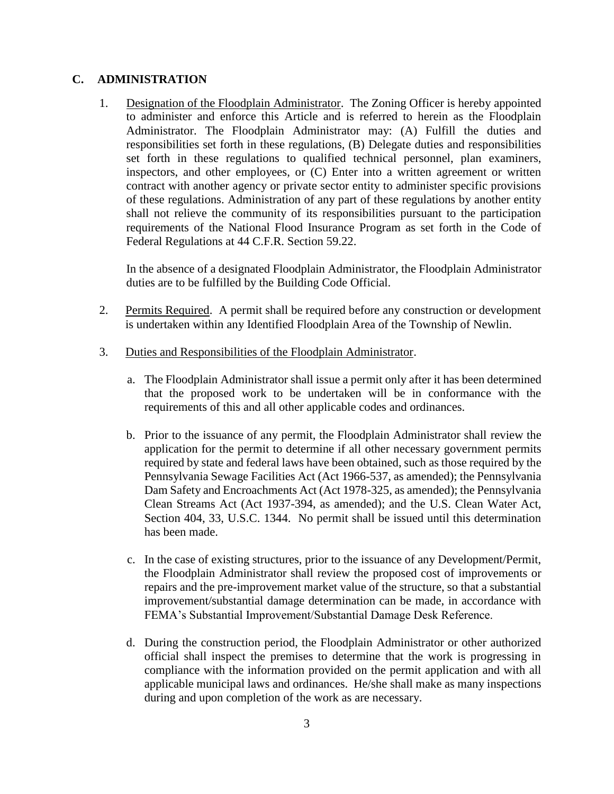#### **C. ADMINISTRATION**

1. Designation of the Floodplain Administrator. The Zoning Officer is hereby appointed to administer and enforce this Article and is referred to herein as the Floodplain Administrator. The Floodplain Administrator may: (A) Fulfill the duties and responsibilities set forth in these regulations, (B) Delegate duties and responsibilities set forth in these regulations to qualified technical personnel, plan examiners, inspectors, and other employees, or (C) Enter into a written agreement or written contract with another agency or private sector entity to administer specific provisions of these regulations. Administration of any part of these regulations by another entity shall not relieve the community of its responsibilities pursuant to the participation requirements of the National Flood Insurance Program as set forth in the Code of Federal Regulations at 44 C.F.R. Section 59.22.

In the absence of a designated Floodplain Administrator, the Floodplain Administrator duties are to be fulfilled by the Building Code Official.

- 2. Permits Required. A permit shall be required before any construction or development is undertaken within any Identified Floodplain Area of the Township of Newlin.
- 3. Duties and Responsibilities of the Floodplain Administrator.
	- a. The Floodplain Administrator shall issue a permit only after it has been determined that the proposed work to be undertaken will be in conformance with the requirements of this and all other applicable codes and ordinances.
	- b. Prior to the issuance of any permit, the Floodplain Administrator shall review the application for the permit to determine if all other necessary government permits required by state and federal laws have been obtained, such as those required by the Pennsylvania Sewage Facilities Act (Act 1966-537, as amended); the Pennsylvania Dam Safety and Encroachments Act (Act 1978-325, as amended); the Pennsylvania Clean Streams Act (Act 1937-394, as amended); and the U.S. Clean Water Act, Section 404, 33, U.S.C. 1344. No permit shall be issued until this determination has been made.
	- c. In the case of existing structures, prior to the issuance of any Development/Permit, the Floodplain Administrator shall review the proposed cost of improvements or repairs and the pre-improvement market value of the structure, so that a substantial improvement/substantial damage determination can be made, in accordance with FEMA's Substantial Improvement/Substantial Damage Desk Reference.
	- d. During the construction period, the Floodplain Administrator or other authorized official shall inspect the premises to determine that the work is progressing in compliance with the information provided on the permit application and with all applicable municipal laws and ordinances. He/she shall make as many inspections during and upon completion of the work as are necessary.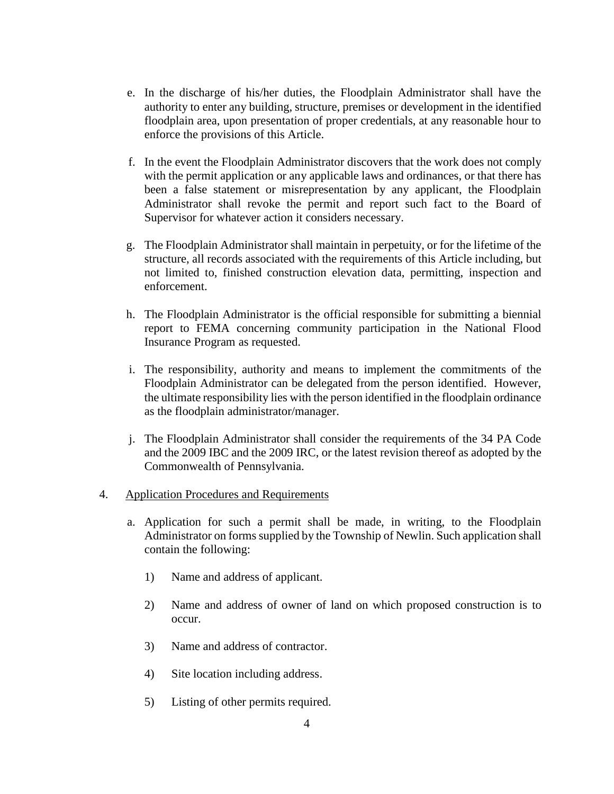- e. In the discharge of his/her duties, the Floodplain Administrator shall have the authority to enter any building, structure, premises or development in the identified floodplain area, upon presentation of proper credentials, at any reasonable hour to enforce the provisions of this Article.
- f. In the event the Floodplain Administrator discovers that the work does not comply with the permit application or any applicable laws and ordinances, or that there has been a false statement or misrepresentation by any applicant, the Floodplain Administrator shall revoke the permit and report such fact to the Board of Supervisor for whatever action it considers necessary.
- g. The Floodplain Administrator shall maintain in perpetuity, or for the lifetime of the structure, all records associated with the requirements of this Article including, but not limited to, finished construction elevation data, permitting, inspection and enforcement.
- h. The Floodplain Administrator is the official responsible for submitting a biennial report to FEMA concerning community participation in the National Flood Insurance Program as requested.
- i. The responsibility, authority and means to implement the commitments of the Floodplain Administrator can be delegated from the person identified. However, the ultimate responsibility lies with the person identified in the floodplain ordinance as the floodplain administrator/manager.
- j. The Floodplain Administrator shall consider the requirements of the 34 PA Code and the 2009 IBC and the 2009 IRC, or the latest revision thereof as adopted by the Commonwealth of Pennsylvania.

#### 4. Application Procedures and Requirements

- a. Application for such a permit shall be made, in writing, to the Floodplain Administrator on forms supplied by the Township of Newlin. Such application shall contain the following:
	- 1) Name and address of applicant.
	- 2) Name and address of owner of land on which proposed construction is to occur.
	- 3) Name and address of contractor.
	- 4) Site location including address.
	- 5) Listing of other permits required.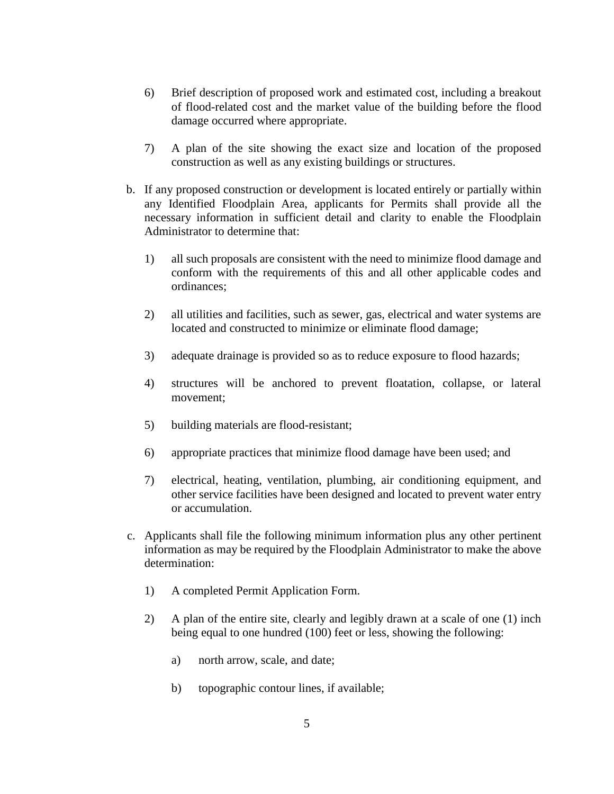- 6) Brief description of proposed work and estimated cost, including a breakout of flood-related cost and the market value of the building before the flood damage occurred where appropriate.
- 7) A plan of the site showing the exact size and location of the proposed construction as well as any existing buildings or structures.
- b. If any proposed construction or development is located entirely or partially within any Identified Floodplain Area, applicants for Permits shall provide all the necessary information in sufficient detail and clarity to enable the Floodplain Administrator to determine that:
	- 1) all such proposals are consistent with the need to minimize flood damage and conform with the requirements of this and all other applicable codes and ordinances;
	- 2) all utilities and facilities, such as sewer, gas, electrical and water systems are located and constructed to minimize or eliminate flood damage;
	- 3) adequate drainage is provided so as to reduce exposure to flood hazards;
	- 4) structures will be anchored to prevent floatation, collapse, or lateral movement;
	- 5) building materials are flood-resistant;
	- 6) appropriate practices that minimize flood damage have been used; and
	- 7) electrical, heating, ventilation, plumbing, air conditioning equipment, and other service facilities have been designed and located to prevent water entry or accumulation.
- c. Applicants shall file the following minimum information plus any other pertinent information as may be required by the Floodplain Administrator to make the above determination:
	- 1) A completed Permit Application Form.
	- 2) A plan of the entire site, clearly and legibly drawn at a scale of one (1) inch being equal to one hundred (100) feet or less, showing the following:
		- a) north arrow, scale, and date;
		- b) topographic contour lines, if available;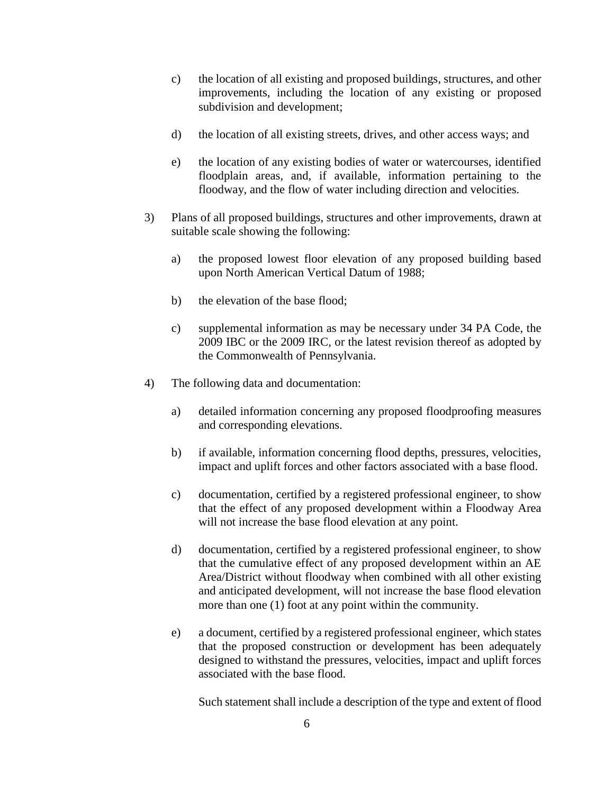- c) the location of all existing and proposed buildings, structures, and other improvements, including the location of any existing or proposed subdivision and development;
- d) the location of all existing streets, drives, and other access ways; and
- e) the location of any existing bodies of water or watercourses, identified floodplain areas, and, if available, information pertaining to the floodway, and the flow of water including direction and velocities.
- 3) Plans of all proposed buildings, structures and other improvements, drawn at suitable scale showing the following:
	- a) the proposed lowest floor elevation of any proposed building based upon North American Vertical Datum of 1988;
	- b) the elevation of the base flood;
	- c) supplemental information as may be necessary under 34 PA Code, the 2009 IBC or the 2009 IRC, or the latest revision thereof as adopted by the Commonwealth of Pennsylvania.
- 4) The following data and documentation:
	- a) detailed information concerning any proposed floodproofing measures and corresponding elevations.
	- b) if available, information concerning flood depths, pressures, velocities, impact and uplift forces and other factors associated with a base flood.
	- c) documentation, certified by a registered professional engineer, to show that the effect of any proposed development within a Floodway Area will not increase the base flood elevation at any point.
	- d) documentation, certified by a registered professional engineer, to show that the cumulative effect of any proposed development within an AE Area/District without floodway when combined with all other existing and anticipated development, will not increase the base flood elevation more than one (1) foot at any point within the community.
	- e) a document, certified by a registered professional engineer, which states that the proposed construction or development has been adequately designed to withstand the pressures, velocities, impact and uplift forces associated with the base flood.

Such statement shall include a description of the type and extent of flood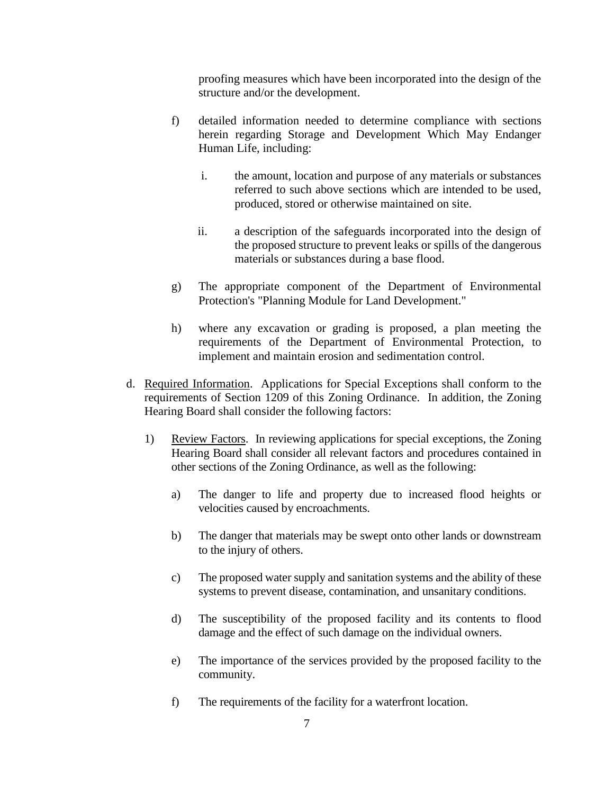proofing measures which have been incorporated into the design of the structure and/or the development.

- f) detailed information needed to determine compliance with sections herein regarding Storage and Development Which May Endanger Human Life, including:
	- i. the amount, location and purpose of any materials or substances referred to such above sections which are intended to be used, produced, stored or otherwise maintained on site.
	- ii. a description of the safeguards incorporated into the design of the proposed structure to prevent leaks or spills of the dangerous materials or substances during a base flood.
- g) The appropriate component of the Department of Environmental Protection's "Planning Module for Land Development."
- h) where any excavation or grading is proposed, a plan meeting the requirements of the Department of Environmental Protection, to implement and maintain erosion and sedimentation control.
- d. Required Information. Applications for Special Exceptions shall conform to the requirements of Section 1209 of this Zoning Ordinance. In addition, the Zoning Hearing Board shall consider the following factors:
	- 1) Review Factors. In reviewing applications for special exceptions, the Zoning Hearing Board shall consider all relevant factors and procedures contained in other sections of the Zoning Ordinance, as well as the following:
		- a) The danger to life and property due to increased flood heights or velocities caused by encroachments.
		- b) The danger that materials may be swept onto other lands or downstream to the injury of others.
		- c) The proposed water supply and sanitation systems and the ability of these systems to prevent disease, contamination, and unsanitary conditions.
		- d) The susceptibility of the proposed facility and its contents to flood damage and the effect of such damage on the individual owners.
		- e) The importance of the services provided by the proposed facility to the community.
		- f) The requirements of the facility for a waterfront location.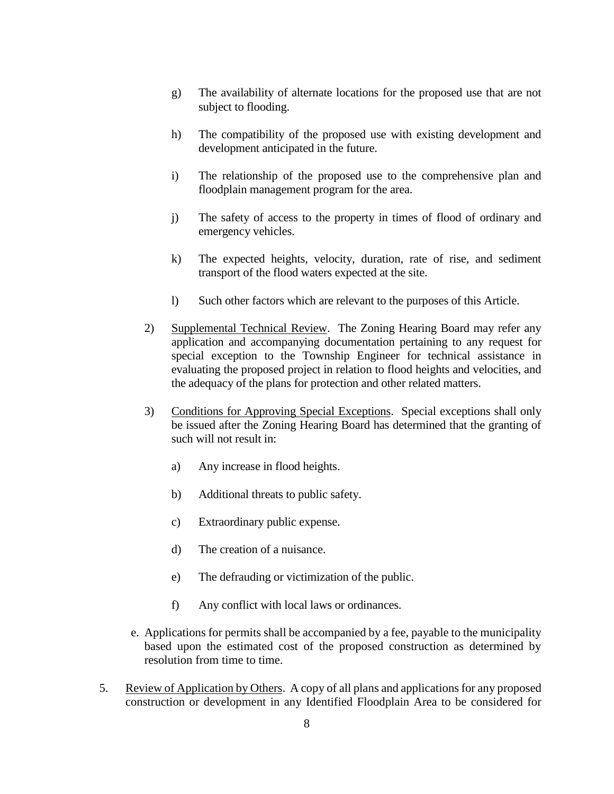- g) The availability of alternate locations for the proposed use that are not subject to flooding.
- h) The compatibility of the proposed use with existing development and development anticipated in the future.
- i) The relationship of the proposed use to the comprehensive plan and floodplain management program for the area.
- j) The safety of access to the property in times of flood of ordinary and emergency vehicles.
- k) The expected heights, velocity, duration, rate of rise, and sediment transport of the flood waters expected at the site.
- l) Such other factors which are relevant to the purposes of this Article.
- 2) Supplemental Technical Review. The Zoning Hearing Board may refer any application and accompanying documentation pertaining to any request for special exception to the Township Engineer for technical assistance in evaluating the proposed project in relation to flood heights and velocities, and the adequacy of the plans for protection and other related matters.
- 3) Conditions for Approving Special Exceptions. Special exceptions shall only be issued after the Zoning Hearing Board has determined that the granting of such will not result in:
	- a) Any increase in flood heights.
	- b) Additional threats to public safety.
	- c) Extraordinary public expense.
	- d) The creation of a nuisance.
	- e) The defrauding or victimization of the public.
	- f) Any conflict with local laws or ordinances.
- e. Applications for permits shall be accompanied by a fee, payable to the municipality based upon the estimated cost of the proposed construction as determined by resolution from time to time.
- 5. Review of Application by Others. A copy of all plans and applications for any proposed construction or development in any Identified Floodplain Area to be considered for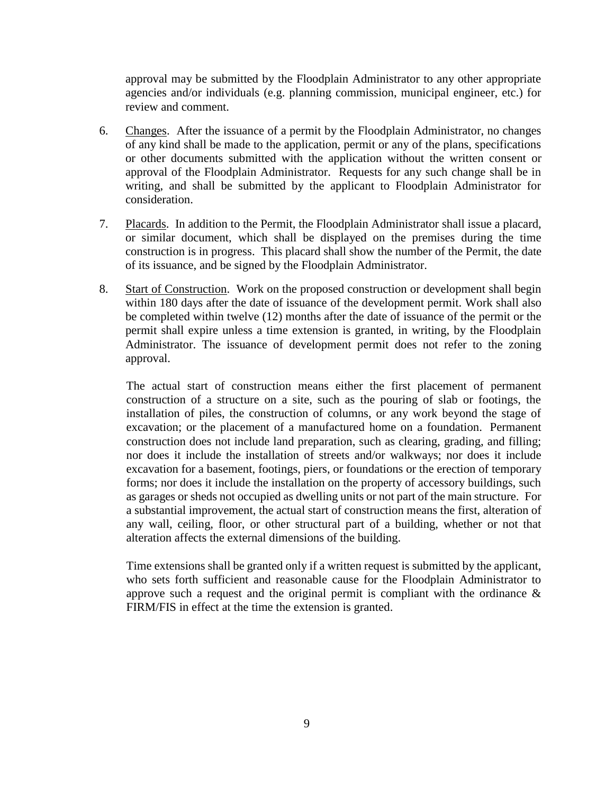approval may be submitted by the Floodplain Administrator to any other appropriate agencies and/or individuals (e.g. planning commission, municipal engineer, etc.) for review and comment.

- 6. Changes. After the issuance of a permit by the Floodplain Administrator, no changes of any kind shall be made to the application, permit or any of the plans, specifications or other documents submitted with the application without the written consent or approval of the Floodplain Administrator. Requests for any such change shall be in writing, and shall be submitted by the applicant to Floodplain Administrator for consideration.
- 7. Placards. In addition to the Permit, the Floodplain Administrator shall issue a placard, or similar document, which shall be displayed on the premises during the time construction is in progress. This placard shall show the number of the Permit, the date of its issuance, and be signed by the Floodplain Administrator.
- 8. Start of Construction. Work on the proposed construction or development shall begin within 180 days after the date of issuance of the development permit. Work shall also be completed within twelve (12) months after the date of issuance of the permit or the permit shall expire unless a time extension is granted, in writing, by the Floodplain Administrator. The issuance of development permit does not refer to the zoning approval.

The actual start of construction means either the first placement of permanent construction of a structure on a site, such as the pouring of slab or footings, the installation of piles, the construction of columns, or any work beyond the stage of excavation; or the placement of a manufactured home on a foundation. Permanent construction does not include land preparation, such as clearing, grading, and filling; nor does it include the installation of streets and/or walkways; nor does it include excavation for a basement, footings, piers, or foundations or the erection of temporary forms; nor does it include the installation on the property of accessory buildings, such as garages or sheds not occupied as dwelling units or not part of the main structure. For a substantial improvement, the actual start of construction means the first, alteration of any wall, ceiling, floor, or other structural part of a building, whether or not that alteration affects the external dimensions of the building.

Time extensions shall be granted only if a written request is submitted by the applicant, who sets forth sufficient and reasonable cause for the Floodplain Administrator to approve such a request and the original permit is compliant with the ordinance  $\&$ FIRM/FIS in effect at the time the extension is granted.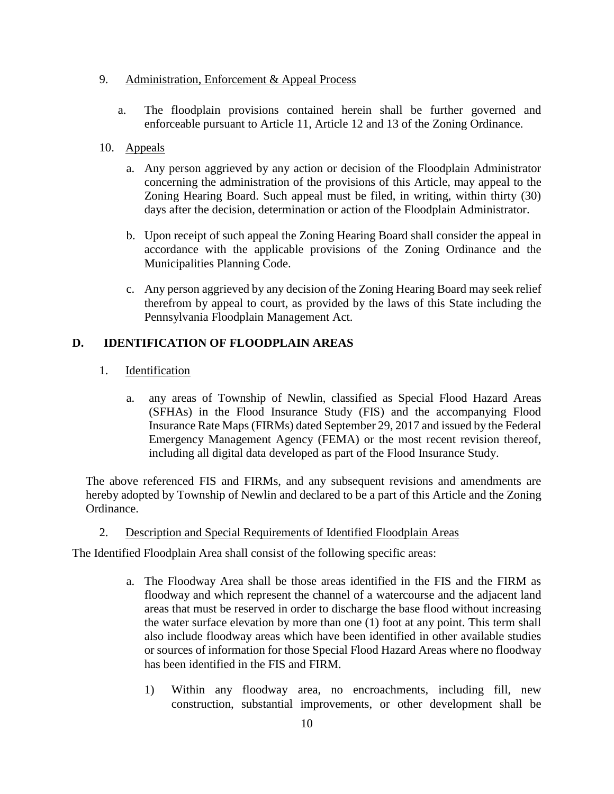#### 9. Administration, Enforcement & Appeal Process

a. The floodplain provisions contained herein shall be further governed and enforceable pursuant to Article 11, Article 12 and 13 of the Zoning Ordinance.

#### 10. Appeals

- a. Any person aggrieved by any action or decision of the Floodplain Administrator concerning the administration of the provisions of this Article, may appeal to the Zoning Hearing Board. Such appeal must be filed, in writing, within thirty (30) days after the decision, determination or action of the Floodplain Administrator.
- b. Upon receipt of such appeal the Zoning Hearing Board shall consider the appeal in accordance with the applicable provisions of the Zoning Ordinance and the Municipalities Planning Code.
- c. Any person aggrieved by any decision of the Zoning Hearing Board may seek relief therefrom by appeal to court, as provided by the laws of this State including the Pennsylvania Floodplain Management Act.

#### **D. IDENTIFICATION OF FLOODPLAIN AREAS**

- 1. Identification
	- a. any areas of Township of Newlin, classified as Special Flood Hazard Areas (SFHAs) in the Flood Insurance Study (FIS) and the accompanying Flood Insurance Rate Maps (FIRMs) dated September 29, 2017 and issued by the Federal Emergency Management Agency (FEMA) or the most recent revision thereof, including all digital data developed as part of the Flood Insurance Study.

The above referenced FIS and FIRMs, and any subsequent revisions and amendments are hereby adopted by Township of Newlin and declared to be a part of this Article and the Zoning Ordinance.

#### 2. Description and Special Requirements of Identified Floodplain Areas

The Identified Floodplain Area shall consist of the following specific areas:

- a. The Floodway Area shall be those areas identified in the FIS and the FIRM as floodway and which represent the channel of a watercourse and the adjacent land areas that must be reserved in order to discharge the base flood without increasing the water surface elevation by more than one (1) foot at any point. This term shall also include floodway areas which have been identified in other available studies or sources of information for those Special Flood Hazard Areas where no floodway has been identified in the FIS and FIRM.
	- 1) Within any floodway area, no encroachments, including fill, new construction, substantial improvements, or other development shall be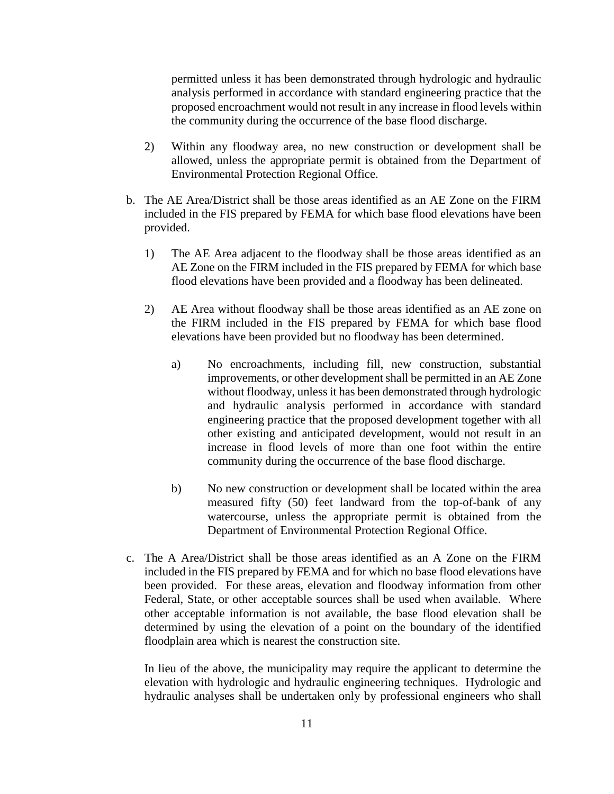permitted unless it has been demonstrated through hydrologic and hydraulic analysis performed in accordance with standard engineering practice that the proposed encroachment would not result in any increase in flood levels within the community during the occurrence of the base flood discharge.

- 2) Within any floodway area, no new construction or development shall be allowed, unless the appropriate permit is obtained from the Department of Environmental Protection Regional Office.
- b. The AE Area/District shall be those areas identified as an AE Zone on the FIRM included in the FIS prepared by FEMA for which base flood elevations have been provided.
	- 1) The AE Area adjacent to the floodway shall be those areas identified as an AE Zone on the FIRM included in the FIS prepared by FEMA for which base flood elevations have been provided and a floodway has been delineated.
	- 2) AE Area without floodway shall be those areas identified as an AE zone on the FIRM included in the FIS prepared by FEMA for which base flood elevations have been provided but no floodway has been determined.
		- a) No encroachments, including fill, new construction, substantial improvements, or other development shall be permitted in an AE Zone without floodway, unless it has been demonstrated through hydrologic and hydraulic analysis performed in accordance with standard engineering practice that the proposed development together with all other existing and anticipated development, would not result in an increase in flood levels of more than one foot within the entire community during the occurrence of the base flood discharge.
		- b) No new construction or development shall be located within the area measured fifty (50) feet landward from the top-of-bank of any watercourse, unless the appropriate permit is obtained from the Department of Environmental Protection Regional Office.
- c. The A Area/District shall be those areas identified as an A Zone on the FIRM included in the FIS prepared by FEMA and for which no base flood elevations have been provided. For these areas, elevation and floodway information from other Federal, State, or other acceptable sources shall be used when available. Where other acceptable information is not available, the base flood elevation shall be determined by using the elevation of a point on the boundary of the identified floodplain area which is nearest the construction site.

In lieu of the above, the municipality may require the applicant to determine the elevation with hydrologic and hydraulic engineering techniques. Hydrologic and hydraulic analyses shall be undertaken only by professional engineers who shall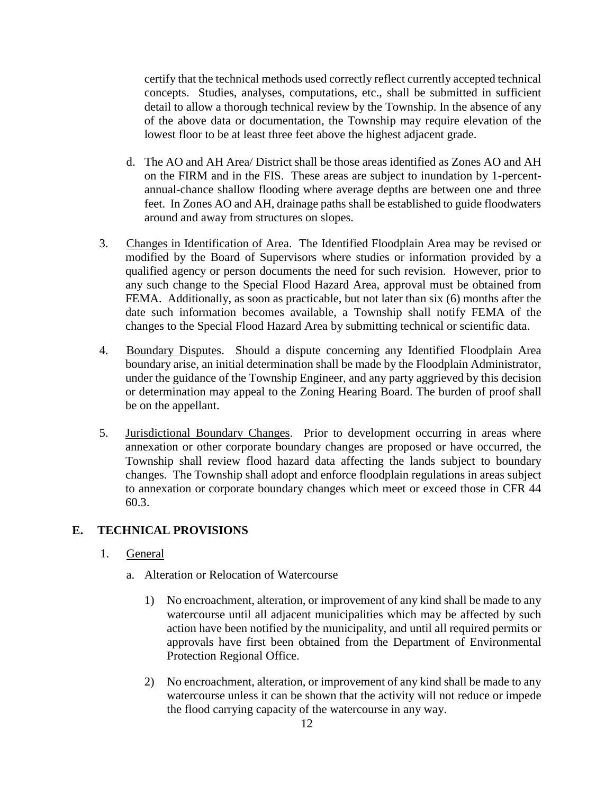certify that the technical methods used correctly reflect currently accepted technical concepts. Studies, analyses, computations, etc., shall be submitted in sufficient detail to allow a thorough technical review by the Township. In the absence of any of the above data or documentation, the Township may require elevation of the lowest floor to be at least three feet above the highest adjacent grade.

- d. The AO and AH Area/ District shall be those areas identified as Zones AO and AH on the FIRM and in the FIS. These areas are subject to inundation by 1-percentannual-chance shallow flooding where average depths are between one and three feet. In Zones AO and AH, drainage paths shall be established to guide floodwaters around and away from structures on slopes.
- 3. Changes in Identification of Area. The Identified Floodplain Area may be revised or modified by the Board of Supervisors where studies or information provided by a qualified agency or person documents the need for such revision. However, prior to any such change to the Special Flood Hazard Area, approval must be obtained from FEMA. Additionally, as soon as practicable, but not later than six (6) months after the date such information becomes available, a Township shall notify FEMA of the changes to the Special Flood Hazard Area by submitting technical or scientific data.
- 4. Boundary Disputes. Should a dispute concerning any Identified Floodplain Area boundary arise, an initial determination shall be made by the Floodplain Administrator, under the guidance of the Township Engineer, and any party aggrieved by this decision or determination may appeal to the Zoning Hearing Board. The burden of proof shall be on the appellant.
- 5. Jurisdictional Boundary Changes. Prior to development occurring in areas where annexation or other corporate boundary changes are proposed or have occurred, the Township shall review flood hazard data affecting the lands subject to boundary changes. The Township shall adopt and enforce floodplain regulations in areas subject to annexation or corporate boundary changes which meet or exceed those in CFR 44 60.3.

## **E. TECHNICAL PROVISIONS**

- 1. General
	- a. Alteration or Relocation of Watercourse
		- 1) No encroachment, alteration, or improvement of any kind shall be made to any watercourse until all adjacent municipalities which may be affected by such action have been notified by the municipality, and until all required permits or approvals have first been obtained from the Department of Environmental Protection Regional Office.
		- 2) No encroachment, alteration, or improvement of any kind shall be made to any watercourse unless it can be shown that the activity will not reduce or impede the flood carrying capacity of the watercourse in any way.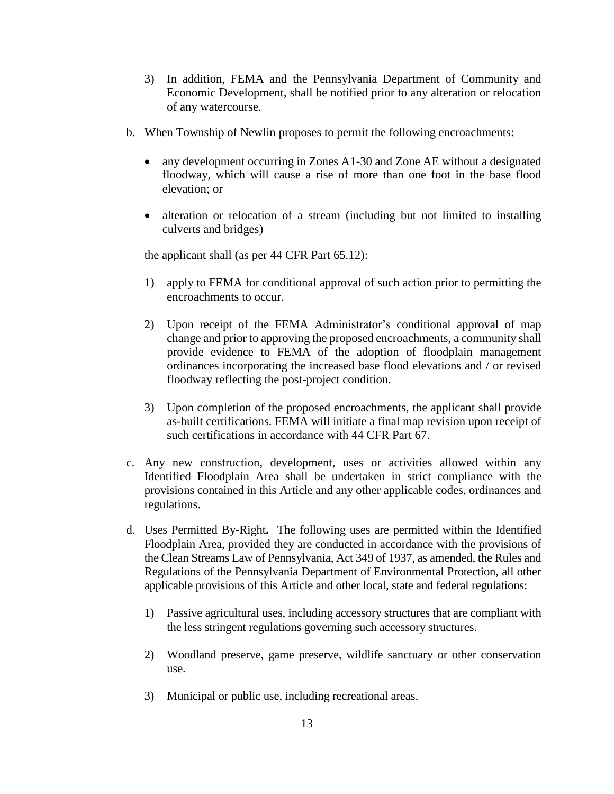- 3) In addition, FEMA and the Pennsylvania Department of Community and Economic Development, shall be notified prior to any alteration or relocation of any watercourse.
- b. When Township of Newlin proposes to permit the following encroachments:
	- any development occurring in Zones A1-30 and Zone AE without a designated floodway, which will cause a rise of more than one foot in the base flood elevation; or
	- alteration or relocation of a stream (including but not limited to installing culverts and bridges)

the applicant shall (as per 44 CFR Part 65.12):

- 1) apply to FEMA for conditional approval of such action prior to permitting the encroachments to occur.
- 2) Upon receipt of the FEMA Administrator's conditional approval of map change and prior to approving the proposed encroachments, a community shall provide evidence to FEMA of the adoption of floodplain management ordinances incorporating the increased base flood elevations and / or revised floodway reflecting the post-project condition.
- 3) Upon completion of the proposed encroachments, the applicant shall provide as-built certifications. FEMA will initiate a final map revision upon receipt of such certifications in accordance with 44 CFR Part 67.
- c. Any new construction, development, uses or activities allowed within any Identified Floodplain Area shall be undertaken in strict compliance with the provisions contained in this Article and any other applicable codes, ordinances and regulations.
- d. Uses Permitted By-Right**.** The following uses are permitted within the Identified Floodplain Area, provided they are conducted in accordance with the provisions of the Clean Streams Law of Pennsylvania, Act 349 of 1937, as amended, the Rules and Regulations of the Pennsylvania Department of Environmental Protection, all other applicable provisions of this Article and other local, state and federal regulations:
	- 1) Passive agricultural uses, including accessory structures that are compliant with the less stringent regulations governing such accessory structures.
	- 2) Woodland preserve, game preserve, wildlife sanctuary or other conservation use.
	- 3) Municipal or public use, including recreational areas.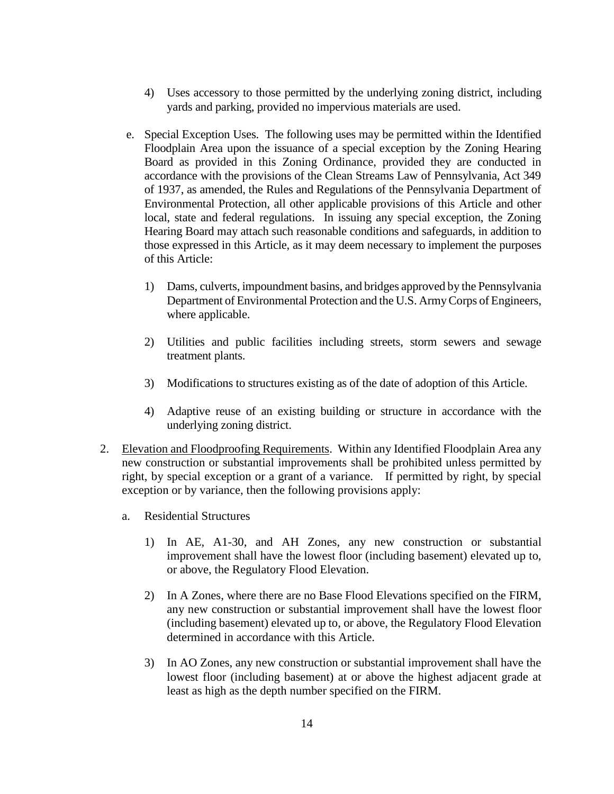- 4) Uses accessory to those permitted by the underlying zoning district, including yards and parking, provided no impervious materials are used.
- e. Special Exception Uses. The following uses may be permitted within the Identified Floodplain Area upon the issuance of a special exception by the Zoning Hearing Board as provided in this Zoning Ordinance, provided they are conducted in accordance with the provisions of the Clean Streams Law of Pennsylvania, Act 349 of 1937, as amended, the Rules and Regulations of the Pennsylvania Department of Environmental Protection, all other applicable provisions of this Article and other local, state and federal regulations. In issuing any special exception, the Zoning Hearing Board may attach such reasonable conditions and safeguards, in addition to those expressed in this Article, as it may deem necessary to implement the purposes of this Article:
	- 1) Dams, culverts, impoundment basins, and bridges approved by the Pennsylvania Department of Environmental Protection and the U.S. Army Corps of Engineers, where applicable.
	- 2) Utilities and public facilities including streets, storm sewers and sewage treatment plants.
	- 3) Modifications to structures existing as of the date of adoption of this Article.
	- 4) Adaptive reuse of an existing building or structure in accordance with the underlying zoning district.
- 2. Elevation and Floodproofing Requirements. Within any Identified Floodplain Area any new construction or substantial improvements shall be prohibited unless permitted by right, by special exception or a grant of a variance. If permitted by right, by special exception or by variance, then the following provisions apply:
	- a. Residential Structures
		- 1) In AE, A1-30, and AH Zones, any new construction or substantial improvement shall have the lowest floor (including basement) elevated up to, or above, the Regulatory Flood Elevation.
		- 2) In A Zones, where there are no Base Flood Elevations specified on the FIRM, any new construction or substantial improvement shall have the lowest floor (including basement) elevated up to, or above, the Regulatory Flood Elevation determined in accordance with this Article.
		- 3) In AO Zones, any new construction or substantial improvement shall have the lowest floor (including basement) at or above the highest adjacent grade at least as high as the depth number specified on the FIRM.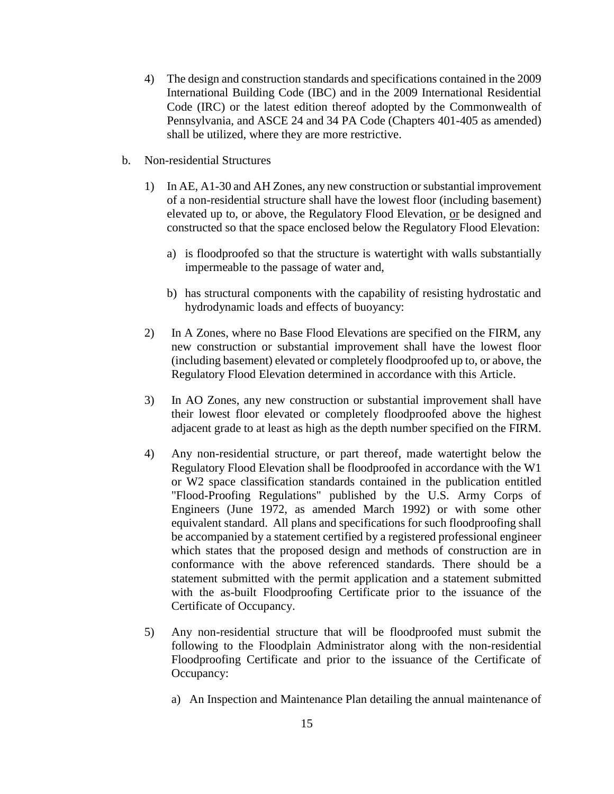- 4) The design and construction standards and specifications contained in the 2009 International Building Code (IBC) and in the 2009 International Residential Code (IRC) or the latest edition thereof adopted by the Commonwealth of Pennsylvania, and ASCE 24 and 34 PA Code (Chapters 401-405 as amended) shall be utilized, where they are more restrictive.
- b. Non-residential Structures
	- 1) In AE, A1-30 and AH Zones, any new construction or substantial improvement of a non-residential structure shall have the lowest floor (including basement) elevated up to, or above, the Regulatory Flood Elevation, or be designed and constructed so that the space enclosed below the Regulatory Flood Elevation:
		- a) is floodproofed so that the structure is watertight with walls substantially impermeable to the passage of water and,
		- b) has structural components with the capability of resisting hydrostatic and hydrodynamic loads and effects of buoyancy:
	- 2) In A Zones, where no Base Flood Elevations are specified on the FIRM, any new construction or substantial improvement shall have the lowest floor (including basement) elevated or completely floodproofed up to, or above, the Regulatory Flood Elevation determined in accordance with this Article.
	- 3) In AO Zones, any new construction or substantial improvement shall have their lowest floor elevated or completely floodproofed above the highest adjacent grade to at least as high as the depth number specified on the FIRM.
	- 4) Any non-residential structure, or part thereof, made watertight below the Regulatory Flood Elevation shall be floodproofed in accordance with the W1 or W2 space classification standards contained in the publication entitled "Flood-Proofing Regulations" published by the U.S. Army Corps of Engineers (June 1972, as amended March 1992) or with some other equivalent standard. All plans and specifications for such floodproofing shall be accompanied by a statement certified by a registered professional engineer which states that the proposed design and methods of construction are in conformance with the above referenced standards. There should be a statement submitted with the permit application and a statement submitted with the as-built Floodproofing Certificate prior to the issuance of the Certificate of Occupancy.
	- 5) Any non-residential structure that will be floodproofed must submit the following to the Floodplain Administrator along with the non-residential Floodproofing Certificate and prior to the issuance of the Certificate of Occupancy:
		- a) An Inspection and Maintenance Plan detailing the annual maintenance of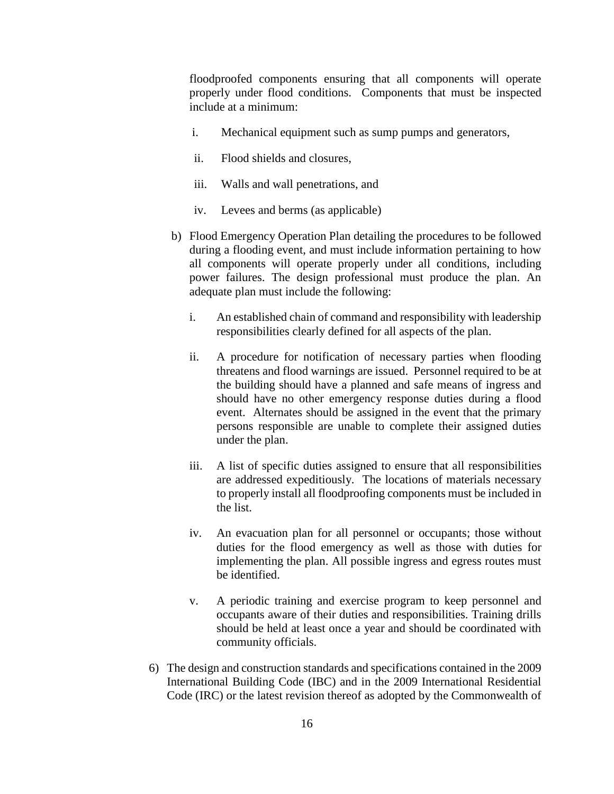floodproofed components ensuring that all components will operate properly under flood conditions. Components that must be inspected include at a minimum:

- i. Mechanical equipment such as sump pumps and generators,
- ii. Flood shields and closures,
- iii. Walls and wall penetrations, and
- iv. Levees and berms (as applicable)
- b) Flood Emergency Operation Plan detailing the procedures to be followed during a flooding event, and must include information pertaining to how all components will operate properly under all conditions, including power failures. The design professional must produce the plan. An adequate plan must include the following:
	- i. An established chain of command and responsibility with leadership responsibilities clearly defined for all aspects of the plan.
	- ii. A procedure for notification of necessary parties when flooding threatens and flood warnings are issued. Personnel required to be at the building should have a planned and safe means of ingress and should have no other emergency response duties during a flood event. Alternates should be assigned in the event that the primary persons responsible are unable to complete their assigned duties under the plan.
	- iii. A list of specific duties assigned to ensure that all responsibilities are addressed expeditiously. The locations of materials necessary to properly install all floodproofing components must be included in the list.
	- iv. An evacuation plan for all personnel or occupants; those without duties for the flood emergency as well as those with duties for implementing the plan. All possible ingress and egress routes must be identified.
	- v. A periodic training and exercise program to keep personnel and occupants aware of their duties and responsibilities. Training drills should be held at least once a year and should be coordinated with community officials.
- 6) The design and construction standards and specifications contained in the 2009 International Building Code (IBC) and in the 2009 International Residential Code (IRC) or the latest revision thereof as adopted by the Commonwealth of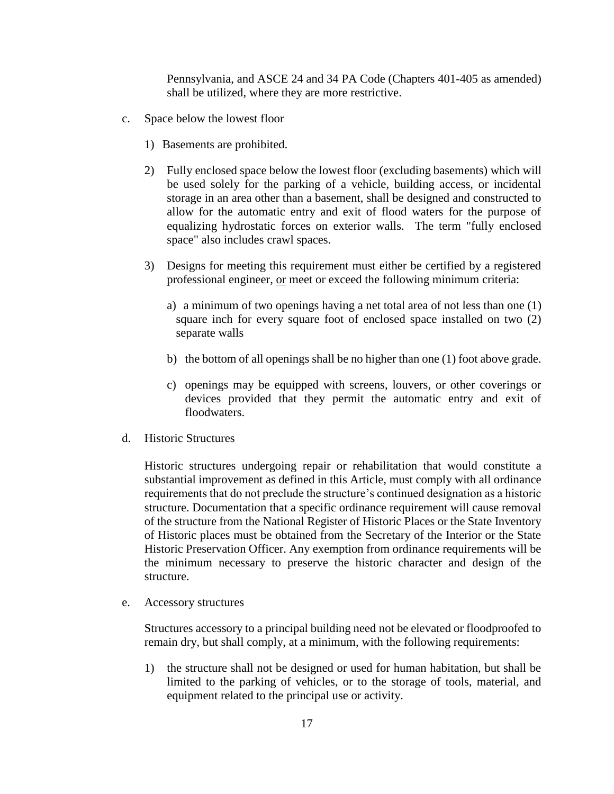Pennsylvania, and ASCE 24 and 34 PA Code (Chapters 401-405 as amended) shall be utilized, where they are more restrictive.

- c. Space below the lowest floor
	- 1) Basements are prohibited.
	- 2) Fully enclosed space below the lowest floor (excluding basements) which will be used solely for the parking of a vehicle, building access, or incidental storage in an area other than a basement, shall be designed and constructed to allow for the automatic entry and exit of flood waters for the purpose of equalizing hydrostatic forces on exterior walls. The term "fully enclosed space" also includes crawl spaces.
	- 3) Designs for meeting this requirement must either be certified by a registered professional engineer, or meet or exceed the following minimum criteria:
		- a) a minimum of two openings having a net total area of not less than one (1) square inch for every square foot of enclosed space installed on two (2) separate walls
		- b) the bottom of all openings shall be no higher than one (1) foot above grade.
		- c) openings may be equipped with screens, louvers, or other coverings or devices provided that they permit the automatic entry and exit of floodwaters.
- d. Historic Structures

Historic structures undergoing repair or rehabilitation that would constitute a substantial improvement as defined in this Article, must comply with all ordinance requirements that do not preclude the structure's continued designation as a historic structure. Documentation that a specific ordinance requirement will cause removal of the structure from the National Register of Historic Places or the State Inventory of Historic places must be obtained from the Secretary of the Interior or the State Historic Preservation Officer. Any exemption from ordinance requirements will be the minimum necessary to preserve the historic character and design of the structure.

e. Accessory structures

Structures accessory to a principal building need not be elevated or floodproofed to remain dry, but shall comply, at a minimum, with the following requirements:

1) the structure shall not be designed or used for human habitation, but shall be limited to the parking of vehicles, or to the storage of tools, material, and equipment related to the principal use or activity.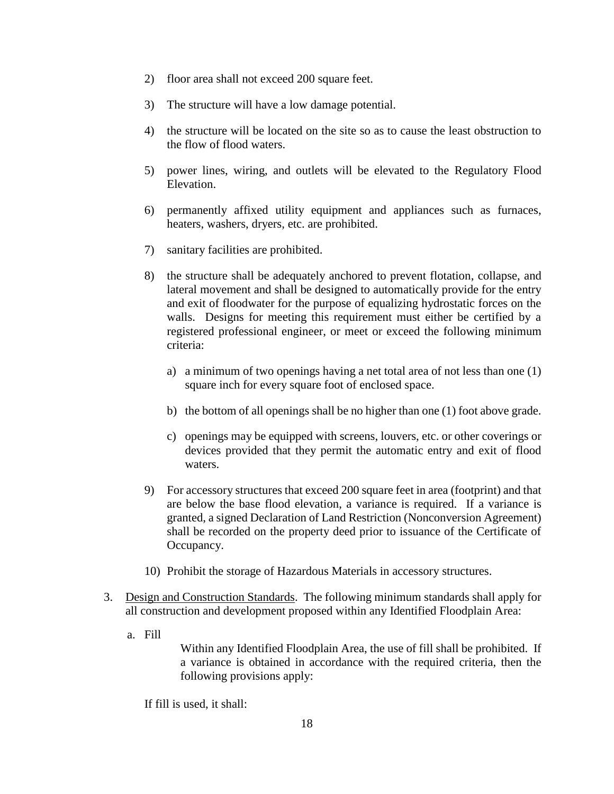- 2) floor area shall not exceed 200 square feet.
- 3) The structure will have a low damage potential.
- 4) the structure will be located on the site so as to cause the least obstruction to the flow of flood waters.
- 5) power lines, wiring, and outlets will be elevated to the Regulatory Flood Elevation.
- 6) permanently affixed utility equipment and appliances such as furnaces, heaters, washers, dryers, etc. are prohibited.
- 7) sanitary facilities are prohibited.
- 8) the structure shall be adequately anchored to prevent flotation, collapse, and lateral movement and shall be designed to automatically provide for the entry and exit of floodwater for the purpose of equalizing hydrostatic forces on the walls. Designs for meeting this requirement must either be certified by a registered professional engineer, or meet or exceed the following minimum criteria:
	- a) a minimum of two openings having a net total area of not less than one (1) square inch for every square foot of enclosed space.
	- b) the bottom of all openings shall be no higher than one (1) foot above grade.
	- c) openings may be equipped with screens, louvers, etc. or other coverings or devices provided that they permit the automatic entry and exit of flood waters.
- 9) For accessory structures that exceed 200 square feet in area (footprint) and that are below the base flood elevation, a variance is required. If a variance is granted, a signed Declaration of Land Restriction (Nonconversion Agreement) shall be recorded on the property deed prior to issuance of the Certificate of Occupancy.
- 10) Prohibit the storage of Hazardous Materials in accessory structures.
- 3. Design and Construction Standards. The following minimum standards shall apply for all construction and development proposed within any Identified Floodplain Area:
	- a. Fill

Within any Identified Floodplain Area, the use of fill shall be prohibited. If a variance is obtained in accordance with the required criteria, then the following provisions apply:

If fill is used, it shall: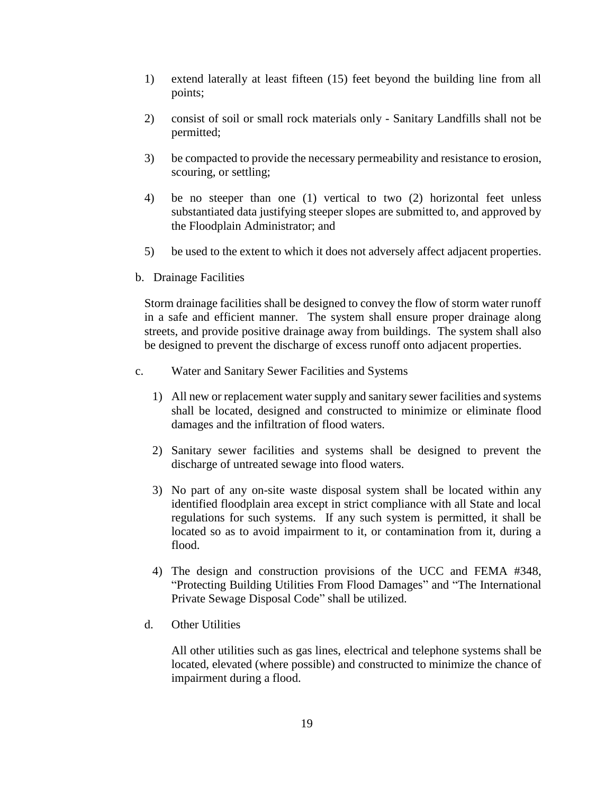- 1) extend laterally at least fifteen (15) feet beyond the building line from all points;
- 2) consist of soil or small rock materials only Sanitary Landfills shall not be permitted;
- 3) be compacted to provide the necessary permeability and resistance to erosion, scouring, or settling;
- 4) be no steeper than one (1) vertical to two (2) horizontal feet unless substantiated data justifying steeper slopes are submitted to, and approved by the Floodplain Administrator; and
- 5) be used to the extent to which it does not adversely affect adjacent properties.
- b. Drainage Facilities

Storm drainage facilities shall be designed to convey the flow of storm water runoff in a safe and efficient manner. The system shall ensure proper drainage along streets, and provide positive drainage away from buildings. The system shall also be designed to prevent the discharge of excess runoff onto adjacent properties.

- c. Water and Sanitary Sewer Facilities and Systems
	- 1) All new or replacement water supply and sanitary sewer facilities and systems shall be located, designed and constructed to minimize or eliminate flood damages and the infiltration of flood waters.
	- 2) Sanitary sewer facilities and systems shall be designed to prevent the discharge of untreated sewage into flood waters.
	- 3) No part of any on-site waste disposal system shall be located within any identified floodplain area except in strict compliance with all State and local regulations for such systems. If any such system is permitted, it shall be located so as to avoid impairment to it, or contamination from it, during a flood.
	- 4) The design and construction provisions of the UCC and FEMA #348, "Protecting Building Utilities From Flood Damages" and "The International Private Sewage Disposal Code" shall be utilized.
	- d. Other Utilities

All other utilities such as gas lines, electrical and telephone systems shall be located, elevated (where possible) and constructed to minimize the chance of impairment during a flood.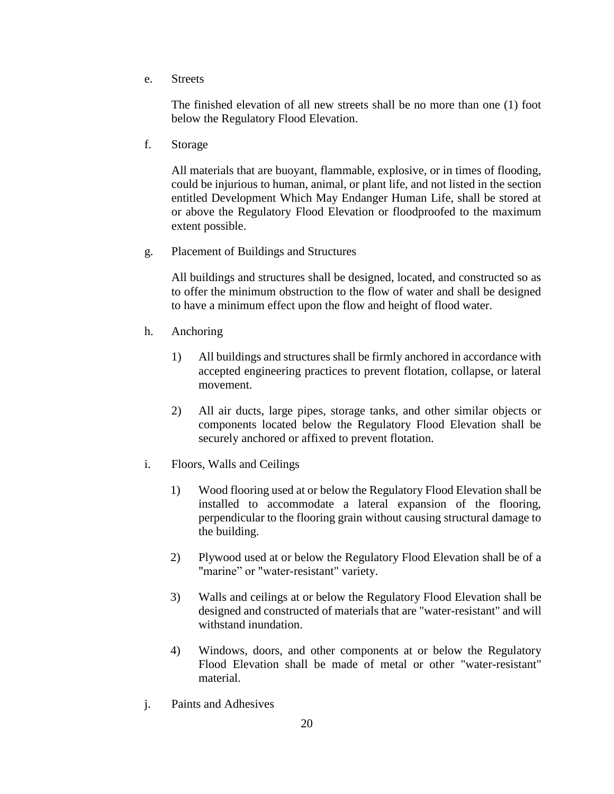e. Streets

The finished elevation of all new streets shall be no more than one (1) foot below the Regulatory Flood Elevation.

f. Storage

All materials that are buoyant, flammable, explosive, or in times of flooding, could be injurious to human, animal, or plant life, and not listed in the section entitled Development Which May Endanger Human Life, shall be stored at or above the Regulatory Flood Elevation or floodproofed to the maximum extent possible.

g. Placement of Buildings and Structures

All buildings and structures shall be designed, located, and constructed so as to offer the minimum obstruction to the flow of water and shall be designed to have a minimum effect upon the flow and height of flood water.

- h. Anchoring
	- 1) All buildings and structures shall be firmly anchored in accordance with accepted engineering practices to prevent flotation, collapse, or lateral movement.
	- 2) All air ducts, large pipes, storage tanks, and other similar objects or components located below the Regulatory Flood Elevation shall be securely anchored or affixed to prevent flotation.
- i. Floors, Walls and Ceilings
	- 1) Wood flooring used at or below the Regulatory Flood Elevation shall be installed to accommodate a lateral expansion of the flooring, perpendicular to the flooring grain without causing structural damage to the building.
	- 2) Plywood used at or below the Regulatory Flood Elevation shall be of a "marine" or "water-resistant" variety.
	- 3) Walls and ceilings at or below the Regulatory Flood Elevation shall be designed and constructed of materials that are "water-resistant" and will withstand inundation.
	- 4) Windows, doors, and other components at or below the Regulatory Flood Elevation shall be made of metal or other "water-resistant" material.
- j. Paints and Adhesives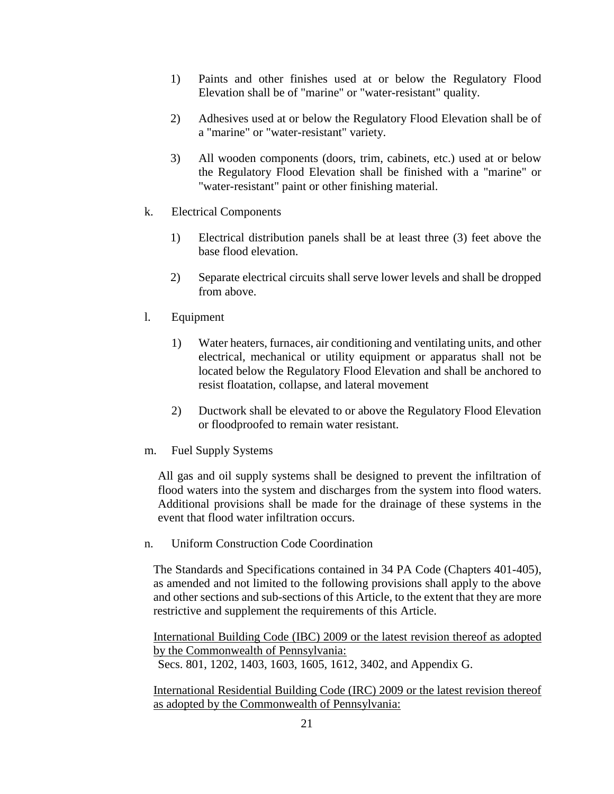- 1) Paints and other finishes used at or below the Regulatory Flood Elevation shall be of "marine" or "water-resistant" quality.
- 2) Adhesives used at or below the Regulatory Flood Elevation shall be of a "marine" or "water-resistant" variety.
- 3) All wooden components (doors, trim, cabinets, etc.) used at or below the Regulatory Flood Elevation shall be finished with a "marine" or "water-resistant" paint or other finishing material.
- k. Electrical Components
	- 1) Electrical distribution panels shall be at least three (3) feet above the base flood elevation.
	- 2) Separate electrical circuits shall serve lower levels and shall be dropped from above.
- l. Equipment
	- 1) Water heaters, furnaces, air conditioning and ventilating units, and other electrical, mechanical or utility equipment or apparatus shall not be located below the Regulatory Flood Elevation and shall be anchored to resist floatation, collapse, and lateral movement
	- 2) Ductwork shall be elevated to or above the Regulatory Flood Elevation or floodproofed to remain water resistant.
- m. Fuel Supply Systems

All gas and oil supply systems shall be designed to prevent the infiltration of flood waters into the system and discharges from the system into flood waters. Additional provisions shall be made for the drainage of these systems in the event that flood water infiltration occurs.

n. Uniform Construction Code Coordination

The Standards and Specifications contained in 34 PA Code (Chapters 401-405), as amended and not limited to the following provisions shall apply to the above and other sections and sub-sections of this Article, to the extent that they are more restrictive and supplement the requirements of this Article.

International Building Code (IBC) 2009 or the latest revision thereof as adopted by the Commonwealth of Pennsylvania:

Secs. 801, 1202, 1403, 1603, 1605, 1612, 3402, and Appendix G.

International Residential Building Code (IRC) 2009 or the latest revision thereof as adopted by the Commonwealth of Pennsylvania: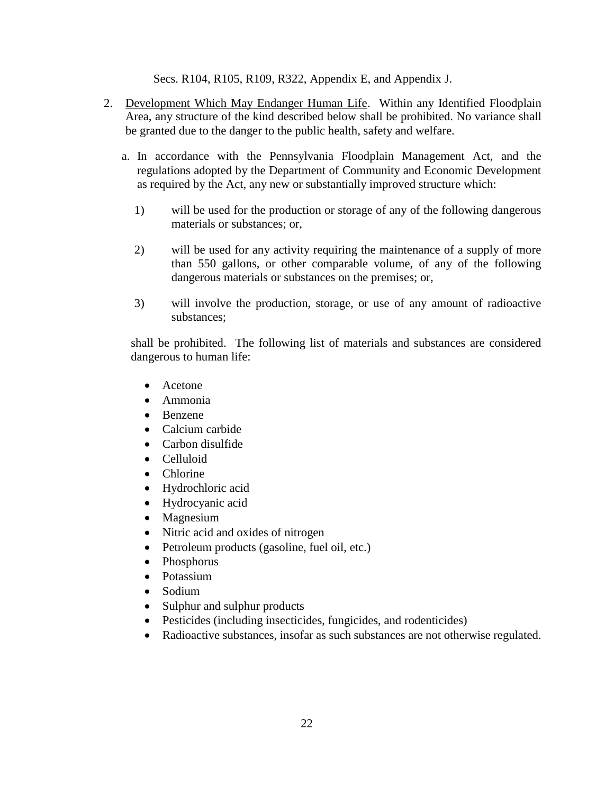Secs. R104, R105, R109, R322, Appendix E, and Appendix J.

- 2. Development Which May Endanger Human Life. Within any Identified Floodplain Area, any structure of the kind described below shall be prohibited. No variance shall be granted due to the danger to the public health, safety and welfare.
	- a. In accordance with the Pennsylvania Floodplain Management Act, and the regulations adopted by the Department of Community and Economic Development as required by the Act, any new or substantially improved structure which:
		- 1) will be used for the production or storage of any of the following dangerous materials or substances; or,
		- 2) will be used for any activity requiring the maintenance of a supply of more than 550 gallons, or other comparable volume, of any of the following dangerous materials or substances on the premises; or,
		- 3) will involve the production, storage, or use of any amount of radioactive substances;

shall be prohibited. The following list of materials and substances are considered dangerous to human life:

- Acetone
- Ammonia
- Benzene
- Calcium carbide
- Carbon disulfide
- Celluloid
- Chlorine
- Hydrochloric acid
- Hydrocyanic acid
- Magnesium
- Nitric acid and oxides of nitrogen
- Petroleum products (gasoline, fuel oil, etc.)
- Phosphorus
- Potassium
- Sodium
- Sulphur and sulphur products
- Pesticides (including insecticides, fungicides, and rodenticides)
- Radioactive substances, insofar as such substances are not otherwise regulated.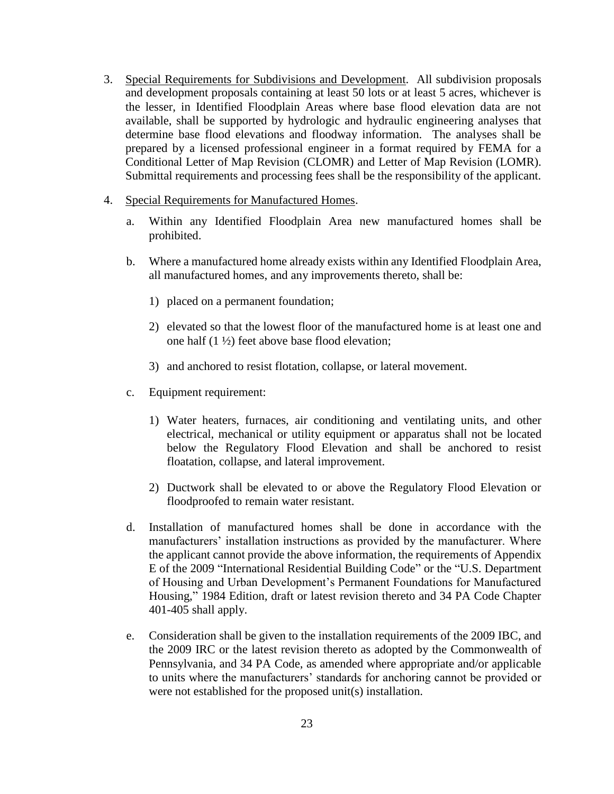- 3. Special Requirements for Subdivisions and Development. All subdivision proposals and development proposals containing at least 50 lots or at least 5 acres, whichever is the lesser, in Identified Floodplain Areas where base flood elevation data are not available, shall be supported by hydrologic and hydraulic engineering analyses that determine base flood elevations and floodway information. The analyses shall be prepared by a licensed professional engineer in a format required by FEMA for a Conditional Letter of Map Revision (CLOMR) and Letter of Map Revision (LOMR). Submittal requirements and processing fees shall be the responsibility of the applicant.
- 4. Special Requirements for Manufactured Homes.
	- a. Within any Identified Floodplain Area new manufactured homes shall be prohibited.
	- b. Where a manufactured home already exists within any Identified Floodplain Area, all manufactured homes, and any improvements thereto, shall be:
		- 1) placed on a permanent foundation;
		- 2) elevated so that the lowest floor of the manufactured home is at least one and one half (1 ½) feet above base flood elevation;
		- 3) and anchored to resist flotation, collapse, or lateral movement.
	- c. Equipment requirement:
		- 1) Water heaters, furnaces, air conditioning and ventilating units, and other electrical, mechanical or utility equipment or apparatus shall not be located below the Regulatory Flood Elevation and shall be anchored to resist floatation, collapse, and lateral improvement.
		- 2) Ductwork shall be elevated to or above the Regulatory Flood Elevation or floodproofed to remain water resistant.
	- d. Installation of manufactured homes shall be done in accordance with the manufacturers' installation instructions as provided by the manufacturer. Where the applicant cannot provide the above information, the requirements of Appendix E of the 2009 "International Residential Building Code" or the "U.S. Department of Housing and Urban Development's Permanent Foundations for Manufactured Housing," 1984 Edition, draft or latest revision thereto and 34 PA Code Chapter 401-405 shall apply.
	- e. Consideration shall be given to the installation requirements of the 2009 IBC, and the 2009 IRC or the latest revision thereto as adopted by the Commonwealth of Pennsylvania, and 34 PA Code, as amended where appropriate and/or applicable to units where the manufacturers' standards for anchoring cannot be provided or were not established for the proposed unit(s) installation.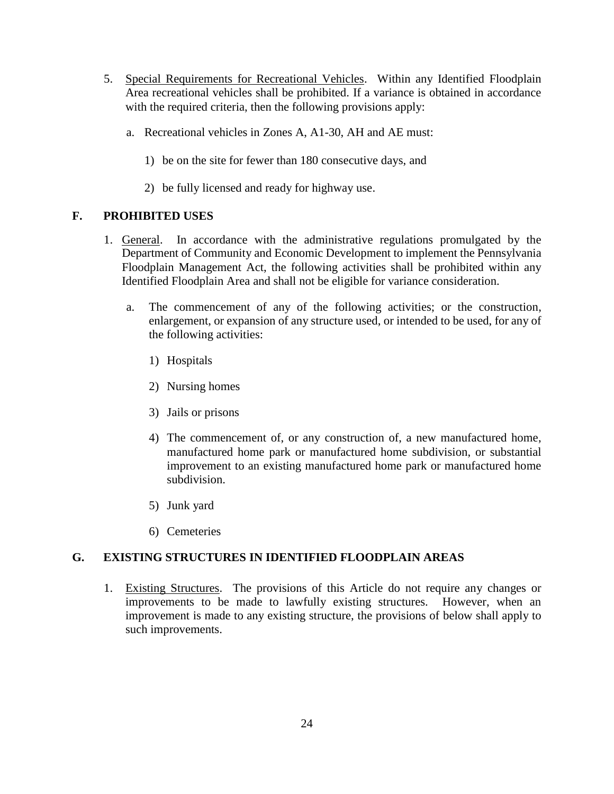- 5. Special Requirements for Recreational Vehicles. Within any Identified Floodplain Area recreational vehicles shall be prohibited. If a variance is obtained in accordance with the required criteria, then the following provisions apply:
	- a. Recreational vehicles in Zones A, A1-30, AH and AE must:
		- 1) be on the site for fewer than 180 consecutive days, and
		- 2) be fully licensed and ready for highway use.

#### **F. PROHIBITED USES**

- 1. General. In accordance with the administrative regulations promulgated by the Department of Community and Economic Development to implement the Pennsylvania Floodplain Management Act, the following activities shall be prohibited within any Identified Floodplain Area and shall not be eligible for variance consideration.
	- a. The commencement of any of the following activities; or the construction, enlargement, or expansion of any structure used, or intended to be used, for any of the following activities:
		- 1) Hospitals
		- 2) Nursing homes
		- 3) Jails or prisons
		- 4) The commencement of, or any construction of, a new manufactured home, manufactured home park or manufactured home subdivision, or substantial improvement to an existing manufactured home park or manufactured home subdivision.
		- 5) Junk yard
		- 6) Cemeteries

## **G. EXISTING STRUCTURES IN IDENTIFIED FLOODPLAIN AREAS**

1. Existing Structures. The provisions of this Article do not require any changes or improvements to be made to lawfully existing structures. However, when an improvement is made to any existing structure, the provisions of below shall apply to such improvements.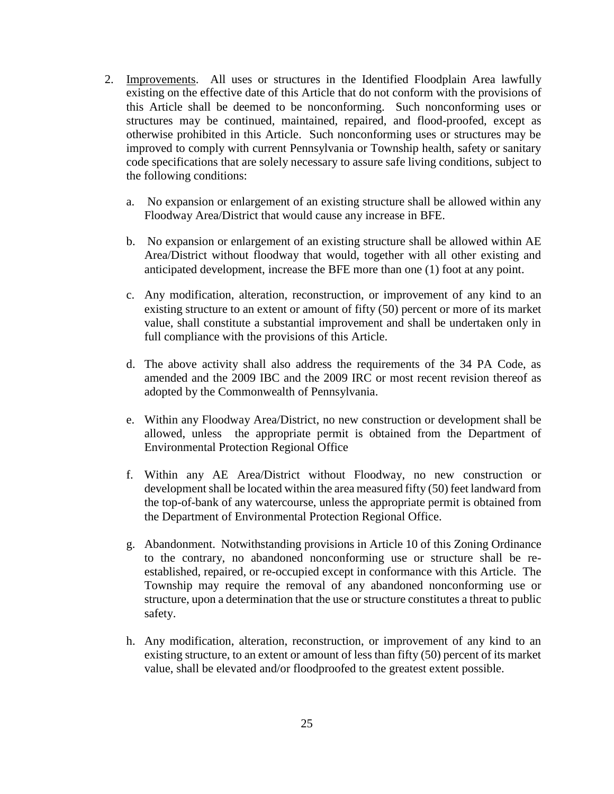- 2. Improvements. All uses or structures in the Identified Floodplain Area lawfully existing on the effective date of this Article that do not conform with the provisions of this Article shall be deemed to be nonconforming. Such nonconforming uses or structures may be continued, maintained, repaired, and flood-proofed, except as otherwise prohibited in this Article. Such nonconforming uses or structures may be improved to comply with current Pennsylvania or Township health, safety or sanitary code specifications that are solely necessary to assure safe living conditions, subject to the following conditions:
	- a. No expansion or enlargement of an existing structure shall be allowed within any Floodway Area/District that would cause any increase in BFE.
	- b. No expansion or enlargement of an existing structure shall be allowed within AE Area/District without floodway that would, together with all other existing and anticipated development, increase the BFE more than one (1) foot at any point.
	- c. Any modification, alteration, reconstruction, or improvement of any kind to an existing structure to an extent or amount of fifty (50) percent or more of its market value, shall constitute a substantial improvement and shall be undertaken only in full compliance with the provisions of this Article.
	- d. The above activity shall also address the requirements of the 34 PA Code, as amended and the 2009 IBC and the 2009 IRC or most recent revision thereof as adopted by the Commonwealth of Pennsylvania.
	- e. Within any Floodway Area/District, no new construction or development shall be allowed, unless the appropriate permit is obtained from the Department of Environmental Protection Regional Office
	- f. Within any AE Area/District without Floodway, no new construction or development shall be located within the area measured fifty (50) feet landward from the top-of-bank of any watercourse, unless the appropriate permit is obtained from the Department of Environmental Protection Regional Office.
	- g. Abandonment. Notwithstanding provisions in Article 10 of this Zoning Ordinance to the contrary, no abandoned nonconforming use or structure shall be reestablished, repaired, or re-occupied except in conformance with this Article. The Township may require the removal of any abandoned nonconforming use or structure, upon a determination that the use or structure constitutes a threat to public safety.
	- h. Any modification, alteration, reconstruction, or improvement of any kind to an existing structure, to an extent or amount of less than fifty (50) percent of its market value, shall be elevated and/or floodproofed to the greatest extent possible.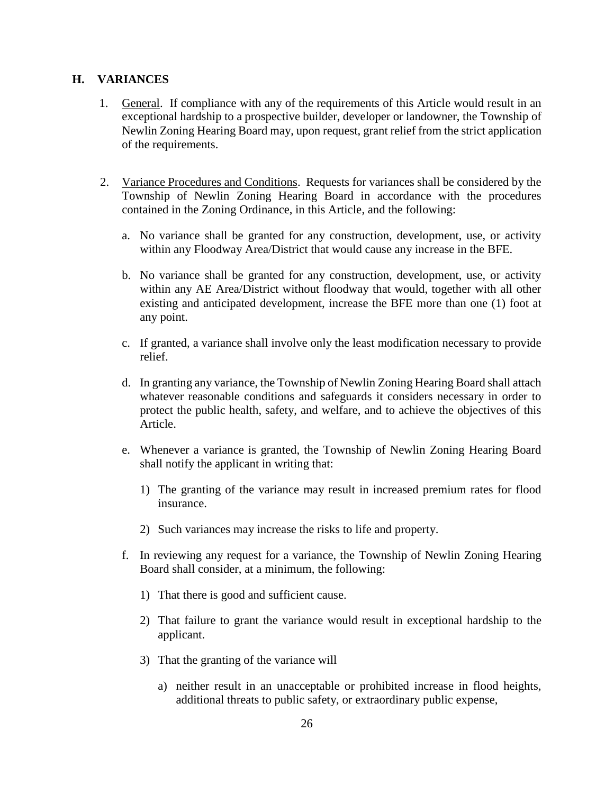#### **H. VARIANCES**

- 1. General. If compliance with any of the requirements of this Article would result in an exceptional hardship to a prospective builder, developer or landowner, the Township of Newlin Zoning Hearing Board may, upon request, grant relief from the strict application of the requirements.
- 2. Variance Procedures and Conditions. Requests for variances shall be considered by the Township of Newlin Zoning Hearing Board in accordance with the procedures contained in the Zoning Ordinance, in this Article, and the following:
	- a. No variance shall be granted for any construction, development, use, or activity within any Floodway Area/District that would cause any increase in the BFE.
	- b. No variance shall be granted for any construction, development, use, or activity within any AE Area/District without floodway that would, together with all other existing and anticipated development, increase the BFE more than one (1) foot at any point.
	- c. If granted, a variance shall involve only the least modification necessary to provide relief.
	- d. In granting any variance, the Township of Newlin Zoning Hearing Board shall attach whatever reasonable conditions and safeguards it considers necessary in order to protect the public health, safety, and welfare, and to achieve the objectives of this Article.
	- e. Whenever a variance is granted, the Township of Newlin Zoning Hearing Board shall notify the applicant in writing that:
		- 1) The granting of the variance may result in increased premium rates for flood insurance.
		- 2) Such variances may increase the risks to life and property.
	- f. In reviewing any request for a variance, the Township of Newlin Zoning Hearing Board shall consider, at a minimum, the following:
		- 1) That there is good and sufficient cause.
		- 2) That failure to grant the variance would result in exceptional hardship to the applicant.
		- 3) That the granting of the variance will
			- a) neither result in an unacceptable or prohibited increase in flood heights, additional threats to public safety, or extraordinary public expense,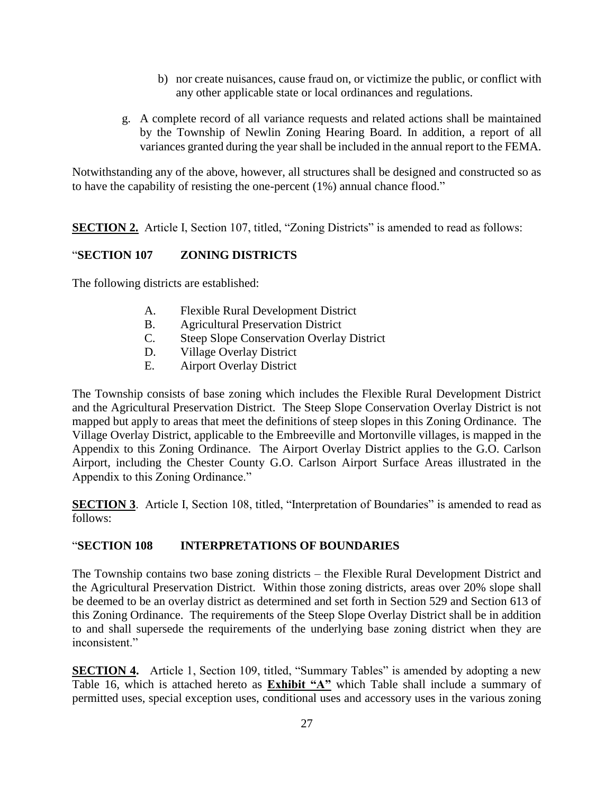- b) nor create nuisances, cause fraud on, or victimize the public, or conflict with any other applicable state or local ordinances and regulations.
- g. A complete record of all variance requests and related actions shall be maintained by the Township of Newlin Zoning Hearing Board. In addition, a report of all variances granted during the year shall be included in the annual report to the FEMA.

Notwithstanding any of the above, however, all structures shall be designed and constructed so as to have the capability of resisting the one-percent (1%) annual chance flood."

**SECTION 2.** Article I, Section 107, titled, "Zoning Districts" is amended to read as follows:

#### "**SECTION 107 ZONING DISTRICTS**

The following districts are established:

- A. Flexible Rural Development District
- B. Agricultural Preservation District
- C. Steep Slope Conservation Overlay District
- D. Village Overlay District
- E. Airport Overlay District

The Township consists of base zoning which includes the Flexible Rural Development District and the Agricultural Preservation District. The Steep Slope Conservation Overlay District is not mapped but apply to areas that meet the definitions of steep slopes in this Zoning Ordinance. The Village Overlay District, applicable to the Embreeville and Mortonville villages, is mapped in the Appendix to this Zoning Ordinance. The Airport Overlay District applies to the G.O. Carlson Airport, including the Chester County G.O. Carlson Airport Surface Areas illustrated in the Appendix to this Zoning Ordinance."

**SECTION 3**. Article I, Section 108, titled, "Interpretation of Boundaries" is amended to read as follows:

## "**SECTION 108 INTERPRETATIONS OF BOUNDARIES**

The Township contains two base zoning districts – the Flexible Rural Development District and the Agricultural Preservation District. Within those zoning districts, areas over 20% slope shall be deemed to be an overlay district as determined and set forth in Section 529 and Section 613 of this Zoning Ordinance. The requirements of the Steep Slope Overlay District shall be in addition to and shall supersede the requirements of the underlying base zoning district when they are inconsistent."

**SECTION 4.** Article 1, Section 109, titled, "Summary Tables" is amended by adopting a new Table 16, which is attached hereto as **Exhibit "A"** which Table shall include a summary of permitted uses, special exception uses, conditional uses and accessory uses in the various zoning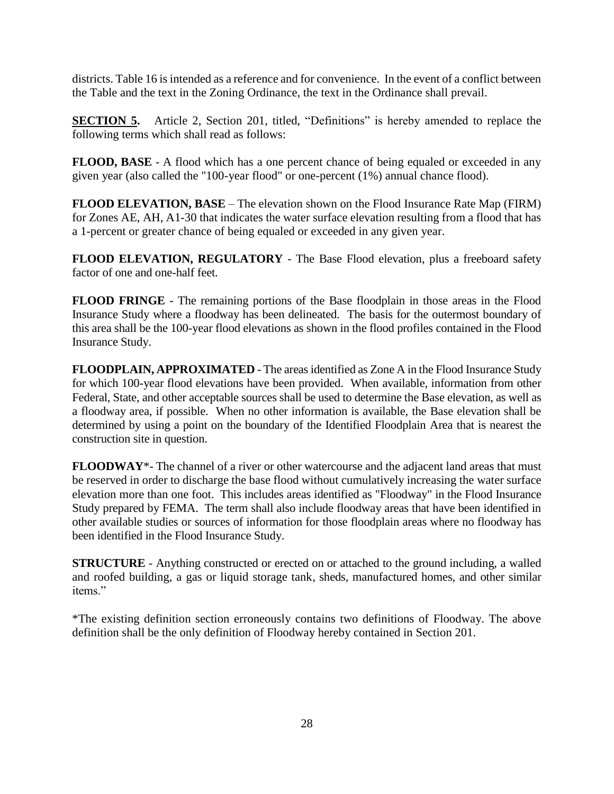districts. Table 16 is intended as a reference and for convenience. In the event of a conflict between the Table and the text in the Zoning Ordinance, the text in the Ordinance shall prevail.

**SECTION 5.** Article 2, Section 201, titled, "Definitions" is hereby amended to replace the following terms which shall read as follows:

**FLOOD, BASE** - A flood which has a one percent chance of being equaled or exceeded in any given year (also called the "100-year flood" or one-percent (1%) annual chance flood).

**FLOOD ELEVATION, BASE** – The elevation shown on the Flood Insurance Rate Map (FIRM) for Zones AE, AH, A1-30 that indicates the water surface elevation resulting from a flood that has a 1-percent or greater chance of being equaled or exceeded in any given year.

**FLOOD ELEVATION, REGULATORY** - The Base Flood elevation, plus a freeboard safety factor of one and one-half feet.

**FLOOD FRINGE** - The remaining portions of the Base floodplain in those areas in the Flood Insurance Study where a floodway has been delineated. The basis for the outermost boundary of this area shall be the 100-year flood elevations as shown in the flood profiles contained in the Flood Insurance Study.

**FLOODPLAIN, APPROXIMATED** - The areas identified as Zone A in the Flood Insurance Study for which 100-year flood elevations have been provided. When available, information from other Federal, State, and other acceptable sources shall be used to determine the Base elevation, as well as a floodway area, if possible. When no other information is available, the Base elevation shall be determined by using a point on the boundary of the Identified Floodplain Area that is nearest the construction site in question.

**FLOODWAY**\*- The channel of a river or other watercourse and the adjacent land areas that must be reserved in order to discharge the base flood without cumulatively increasing the water surface elevation more than one foot. This includes areas identified as "Floodway" in the Flood Insurance Study prepared by FEMA. The term shall also include floodway areas that have been identified in other available studies or sources of information for those floodplain areas where no floodway has been identified in the Flood Insurance Study.

**STRUCTURE** - Anything constructed or erected on or attached to the ground including, a walled and roofed building, a gas or liquid storage tank, sheds, manufactured homes, and other similar items."

\*The existing definition section erroneously contains two definitions of Floodway. The above definition shall be the only definition of Floodway hereby contained in Section 201.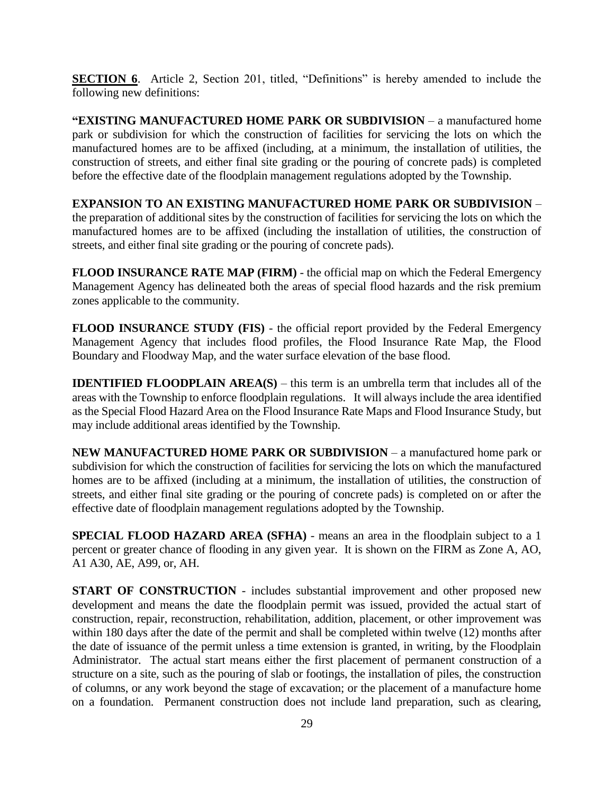**SECTION 6.** Article 2, Section 201, titled, "Definitions" is hereby amended to include the following new definitions:

**"EXISTING MANUFACTURED HOME PARK OR SUBDIVISION** – a manufactured home park or subdivision for which the construction of facilities for servicing the lots on which the manufactured homes are to be affixed (including, at a minimum, the installation of utilities, the construction of streets, and either final site grading or the pouring of concrete pads) is completed before the effective date of the floodplain management regulations adopted by the Township.

**EXPANSION TO AN EXISTING MANUFACTURED HOME PARK OR SUBDIVISION** – the preparation of additional sites by the construction of facilities for servicing the lots on which the manufactured homes are to be affixed (including the installation of utilities, the construction of streets, and either final site grading or the pouring of concrete pads).

**FLOOD INSURANCE RATE MAP (FIRM)** - the official map on which the Federal Emergency Management Agency has delineated both the areas of special flood hazards and the risk premium zones applicable to the community.

**FLOOD INSURANCE STUDY (FIS)** - the official report provided by the Federal Emergency Management Agency that includes flood profiles, the Flood Insurance Rate Map, the Flood Boundary and Floodway Map, and the water surface elevation of the base flood.

**IDENTIFIED FLOODPLAIN AREA(S)** – this term is an umbrella term that includes all of the areas with the Township to enforce floodplain regulations. It will always include the area identified as the Special Flood Hazard Area on the Flood Insurance Rate Maps and Flood Insurance Study, but may include additional areas identified by the Township.

**NEW MANUFACTURED HOME PARK OR SUBDIVISION** – a manufactured home park or subdivision for which the construction of facilities for servicing the lots on which the manufactured homes are to be affixed (including at a minimum, the installation of utilities, the construction of streets, and either final site grading or the pouring of concrete pads) is completed on or after the effective date of floodplain management regulations adopted by the Township.

**SPECIAL FLOOD HAZARD AREA (SFHA)** - means an area in the floodplain subject to a 1 percent or greater chance of flooding in any given year. It is shown on the FIRM as Zone A, AO, A1 A30, AE, A99, or, AH.

**START OF CONSTRUCTION** - includes substantial improvement and other proposed new development and means the date the floodplain permit was issued, provided the actual start of construction, repair, reconstruction, rehabilitation, addition, placement, or other improvement was within 180 days after the date of the permit and shall be completed within twelve (12) months after the date of issuance of the permit unless a time extension is granted, in writing, by the Floodplain Administrator. The actual start means either the first placement of permanent construction of a structure on a site, such as the pouring of slab or footings, the installation of piles, the construction of columns, or any work beyond the stage of excavation; or the placement of a manufacture home on a foundation. Permanent construction does not include land preparation, such as clearing,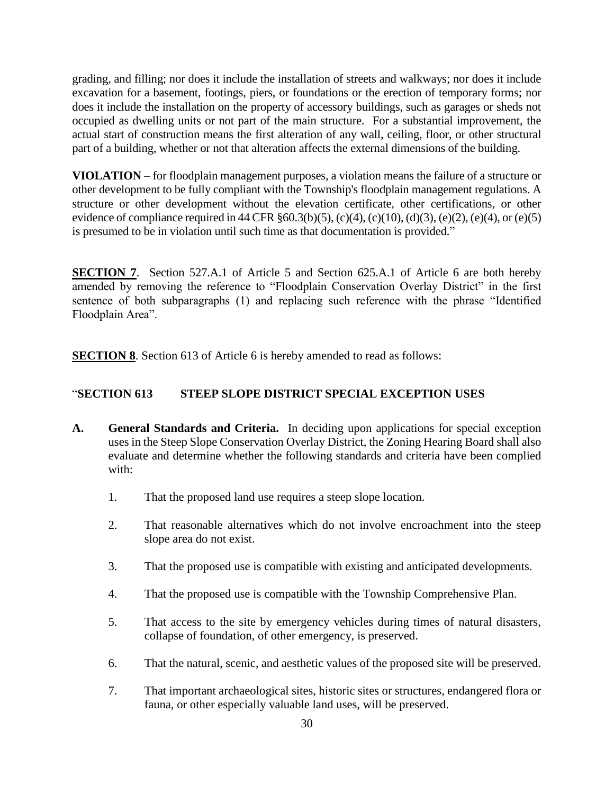grading, and filling; nor does it include the installation of streets and walkways; nor does it include excavation for a basement, footings, piers, or foundations or the erection of temporary forms; nor does it include the installation on the property of accessory buildings, such as garages or sheds not occupied as dwelling units or not part of the main structure. For a substantial improvement, the actual start of construction means the first alteration of any wall, ceiling, floor, or other structural part of a building, whether or not that alteration affects the external dimensions of the building.

**VIOLATION** – for floodplain management purposes, a violation means the failure of a structure or other development to be fully compliant with the Township's floodplain management regulations. A structure or other development without the elevation certificate, other certifications, or other evidence of compliance required in 44 CFR  $\S 60.3(b)(5)$ , (c)(4), (c)(10), (d)(3), (e)(2), (e)(4), or (e)(5) is presumed to be in violation until such time as that documentation is provided."

**SECTION 7.** Section 527.A.1 of Article 5 and Section 625.A.1 of Article 6 are both hereby amended by removing the reference to "Floodplain Conservation Overlay District" in the first sentence of both subparagraphs (1) and replacing such reference with the phrase "Identified Floodplain Area".

**SECTION 8**. Section 613 of Article 6 is hereby amended to read as follows:

## "**SECTION 613 STEEP SLOPE DISTRICT SPECIAL EXCEPTION USES**

- **A. General Standards and Criteria.** In deciding upon applications for special exception uses in the Steep Slope Conservation Overlay District, the Zoning Hearing Board shall also evaluate and determine whether the following standards and criteria have been complied with:
	- 1. That the proposed land use requires a steep slope location.
	- 2. That reasonable alternatives which do not involve encroachment into the steep slope area do not exist.
	- 3. That the proposed use is compatible with existing and anticipated developments.
	- 4. That the proposed use is compatible with the Township Comprehensive Plan.
	- 5. That access to the site by emergency vehicles during times of natural disasters, collapse of foundation, of other emergency, is preserved.
	- 6. That the natural, scenic, and aesthetic values of the proposed site will be preserved.
	- 7. That important archaeological sites, historic sites or structures, endangered flora or fauna, or other especially valuable land uses, will be preserved.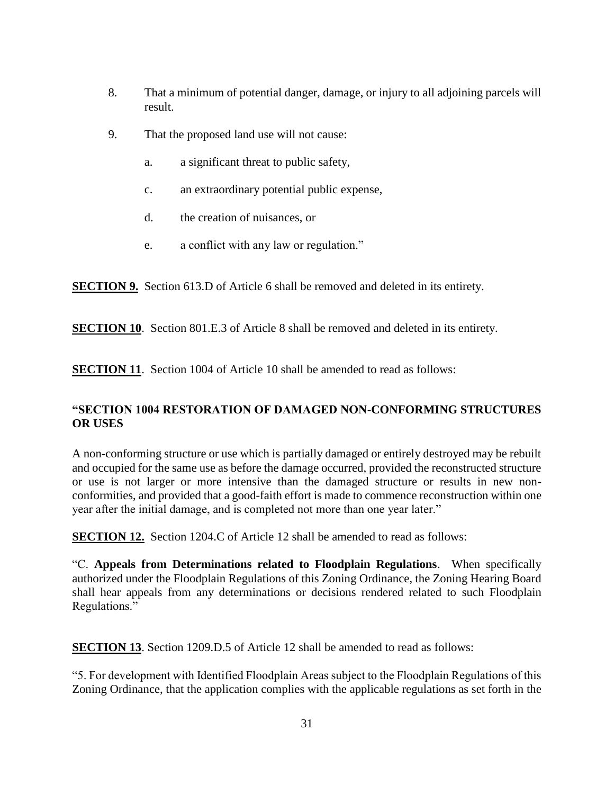- 8. That a minimum of potential danger, damage, or injury to all adjoining parcels will result.
- 9. That the proposed land use will not cause:
	- a. a significant threat to public safety,
	- c. an extraordinary potential public expense,
	- d. the creation of nuisances, or
	- e. a conflict with any law or regulation."

**SECTION 9.** Section 613.D of Article 6 shall be removed and deleted in its entirety.

**SECTION 10.** Section 801.E.3 of Article 8 shall be removed and deleted in its entirety.

**SECTION 11.** Section 1004 of Article 10 shall be amended to read as follows:

#### **"SECTION 1004 RESTORATION OF DAMAGED NON-CONFORMING STRUCTURES OR USES**

A non-conforming structure or use which is partially damaged or entirely destroyed may be rebuilt and occupied for the same use as before the damage occurred, provided the reconstructed structure or use is not larger or more intensive than the damaged structure or results in new nonconformities, and provided that a good-faith effort is made to commence reconstruction within one year after the initial damage, and is completed not more than one year later."

**SECTION 12.** Section 1204.C of Article 12 shall be amended to read as follows:

"C. **Appeals from Determinations related to Floodplain Regulations**. When specifically authorized under the Floodplain Regulations of this Zoning Ordinance, the Zoning Hearing Board shall hear appeals from any determinations or decisions rendered related to such Floodplain Regulations."

**SECTION 13.** Section 1209.D.5 of Article 12 shall be amended to read as follows:

"5. For development with Identified Floodplain Areas subject to the Floodplain Regulations of this Zoning Ordinance, that the application complies with the applicable regulations as set forth in the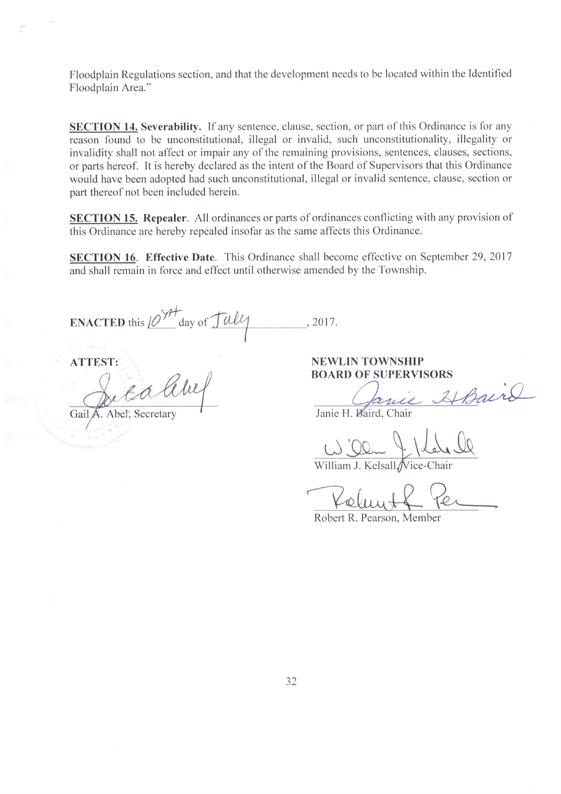Floodplain Regulations section, and that the development needs to be located within the Identified Floodplain Area."

**SECTION 14. Severability.** If any sentence, clause, section, or part of this Ordinance is for any reason found to be unconstitutional, illegal or invalid, such unconstitutionality, illegality or invalidity shall not affect or impair any of the remaining provisions, sentences, clauses, sections, or parts hereof. It is hereby declared as the intent of the Board of Supervisors that this Ordinance would have been adopted had such unconstitutional, illegal or invalid sentence, clause, section or part thereof not been included herein.

SECTION 15. Repealer. All ordinances or parts of ordinances conflicting with any provision of this Ordinance are hereby repealed insofar as the same affects this Ordinance.

SECTION 16. Effective Date. This Ordinance shall become effective on September 29, 2017 and shall remain in force and effect until otherwise amended by the Township.

ENACTED this  $10^{911}$  day of  $\frac{1}{4}$ , 2017.

**ATTEST:** 

ea litu

Gail **I.** Abel, Secretary

**NEWLIN TOWNSHIP BOARD OF SUPERVISORS** 

kinie HBaird

Janie H. Baird, Chair

William J. Kelsall Vice-Chair

Robert R. Pearson, Member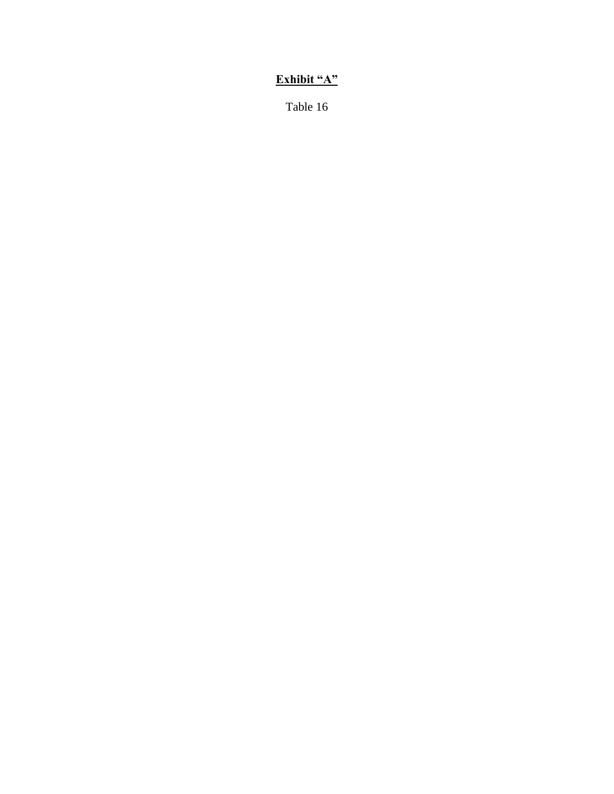# **Exhibit "A"**

Table 16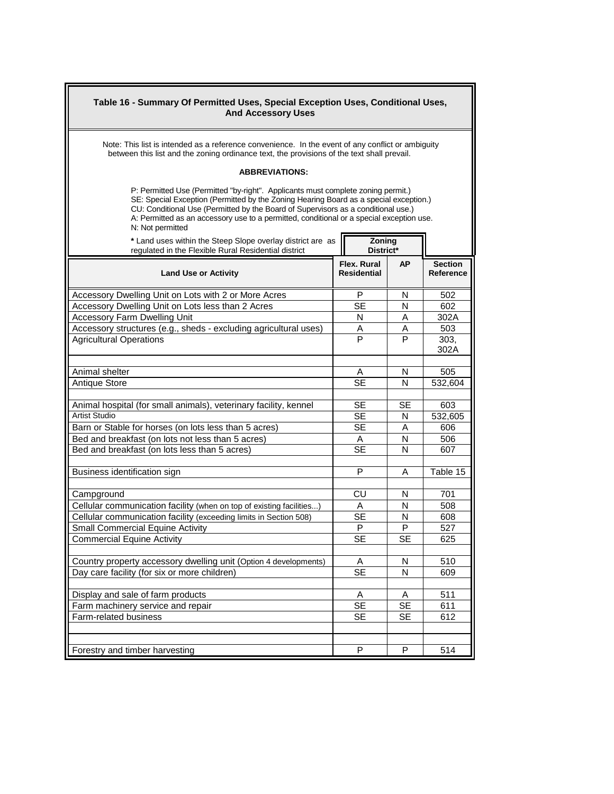| Table 16 - Summary Of Permitted Uses, Special Exception Uses, Conditional Uses,<br><b>And Accessory Uses</b>                                                                                                                                                                                                                                                                   |                                   |           |                             |  |  |
|--------------------------------------------------------------------------------------------------------------------------------------------------------------------------------------------------------------------------------------------------------------------------------------------------------------------------------------------------------------------------------|-----------------------------------|-----------|-----------------------------|--|--|
| Note: This list is intended as a reference convenience. In the event of any conflict or ambiguity<br>between this list and the zoning ordinance text, the provisions of the text shall prevail.                                                                                                                                                                                |                                   |           |                             |  |  |
| <b>ABBREVIATIONS:</b>                                                                                                                                                                                                                                                                                                                                                          |                                   |           |                             |  |  |
| P: Permitted Use (Permitted "by-right". Applicants must complete zoning permit.)<br>SE: Special Exception (Permitted by the Zoning Hearing Board as a special exception.)<br>CU: Conditional Use (Permitted by the Board of Supervisors as a conditional use.)<br>A: Permitted as an accessory use to a permitted, conditional or a special exception use.<br>N: Not permitted |                                   |           |                             |  |  |
| * Land uses within the Steep Slope overlay district are as<br>regulated in the Flexible Rural Residential district                                                                                                                                                                                                                                                             | Zoning<br>District*               |           |                             |  |  |
| <b>Land Use or Activity</b>                                                                                                                                                                                                                                                                                                                                                    | Flex. Rural<br><b>Residential</b> | <b>AP</b> | <b>Section</b><br>Reference |  |  |
| Accessory Dwelling Unit on Lots with 2 or More Acres                                                                                                                                                                                                                                                                                                                           | P                                 | N         | 502                         |  |  |
| Accessory Dwelling Unit on Lots less than 2 Acres                                                                                                                                                                                                                                                                                                                              | <b>SE</b>                         | Ν         | 602                         |  |  |
| <b>Accessory Farm Dwelling Unit</b>                                                                                                                                                                                                                                                                                                                                            | N                                 | A         | 302A                        |  |  |
| Accessory structures (e.g., sheds - excluding agricultural uses)                                                                                                                                                                                                                                                                                                               | Α                                 | Α         | 503                         |  |  |
| <b>Agricultural Operations</b>                                                                                                                                                                                                                                                                                                                                                 | P                                 | P         | 303,<br>302A                |  |  |
| Animal shelter                                                                                                                                                                                                                                                                                                                                                                 | A                                 | N         | 505                         |  |  |
| <b>Antique Store</b>                                                                                                                                                                                                                                                                                                                                                           | <b>SE</b>                         | N         | 532,604                     |  |  |
|                                                                                                                                                                                                                                                                                                                                                                                |                                   |           |                             |  |  |
| Animal hospital (for small animals), veterinary facility, kennel                                                                                                                                                                                                                                                                                                               | <b>SE</b>                         | <b>SE</b> | 603                         |  |  |
| <b>Artist Studio</b>                                                                                                                                                                                                                                                                                                                                                           | <b>SE</b>                         | N         | 532,605                     |  |  |
| Barn or Stable for horses (on lots less than 5 acres)                                                                                                                                                                                                                                                                                                                          | <b>SE</b>                         | Α         | 606                         |  |  |
| Bed and breakfast (on lots not less than 5 acres)                                                                                                                                                                                                                                                                                                                              | A                                 | N         | 506                         |  |  |
| Bed and breakfast (on lots less than 5 acres)                                                                                                                                                                                                                                                                                                                                  | <b>SE</b>                         | N         | 607                         |  |  |
| Business identification sign                                                                                                                                                                                                                                                                                                                                                   | P                                 | А         | Table 15                    |  |  |
| Campground                                                                                                                                                                                                                                                                                                                                                                     | CU                                | N         | 701                         |  |  |
| Cellular communication facility (when on top of existing facilities)                                                                                                                                                                                                                                                                                                           | A                                 | N         | 508                         |  |  |
| Cellular communication facility (exceeding limits in Section 508)                                                                                                                                                                                                                                                                                                              | <b>SE</b>                         | N         | 608                         |  |  |
| <b>Small Commercial Equine Activity</b>                                                                                                                                                                                                                                                                                                                                        | P                                 | P         | 527                         |  |  |
| <b>Commercial Equine Activity</b>                                                                                                                                                                                                                                                                                                                                              | <b>SE</b>                         | <b>SE</b> | 625                         |  |  |
|                                                                                                                                                                                                                                                                                                                                                                                |                                   |           |                             |  |  |
| Country property accessory dwelling unit (Option 4 developments)                                                                                                                                                                                                                                                                                                               | A                                 | N         | 510                         |  |  |
| Day care facility (for six or more children)                                                                                                                                                                                                                                                                                                                                   | $\overline{\text{SE}}$            | N         | 609                         |  |  |
|                                                                                                                                                                                                                                                                                                                                                                                |                                   |           |                             |  |  |
| Display and sale of farm products                                                                                                                                                                                                                                                                                                                                              | A                                 | Α         | 511                         |  |  |
| Farm machinery service and repair<br>Farm-related business                                                                                                                                                                                                                                                                                                                     | SE                                | SE        | 611                         |  |  |
|                                                                                                                                                                                                                                                                                                                                                                                | <b>SE</b>                         | <b>SE</b> | 612                         |  |  |
|                                                                                                                                                                                                                                                                                                                                                                                |                                   |           |                             |  |  |
| Forestry and timber harvesting                                                                                                                                                                                                                                                                                                                                                 | P                                 | P         | 514                         |  |  |